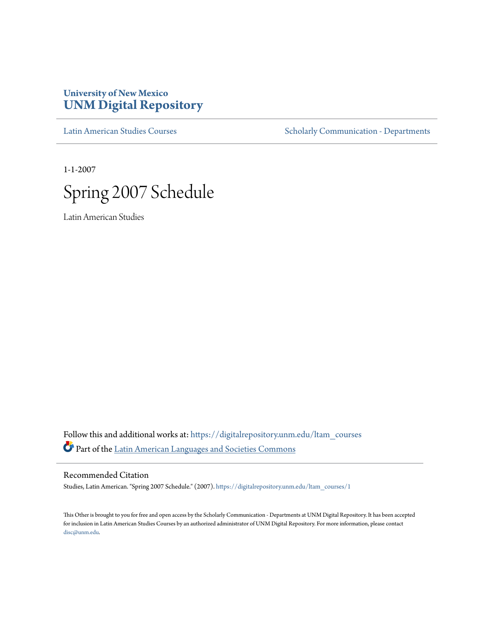## **University of New Mexico [UNM Digital Repository](https://digitalrepository.unm.edu?utm_source=digitalrepository.unm.edu%2Fltam_courses%2F1&utm_medium=PDF&utm_campaign=PDFCoverPages)**

[Latin American Studies Courses](https://digitalrepository.unm.edu/ltam_courses?utm_source=digitalrepository.unm.edu%2Fltam_courses%2F1&utm_medium=PDF&utm_campaign=PDFCoverPages) [Scholarly Communication - Departments](https://digitalrepository.unm.edu/departments?utm_source=digitalrepository.unm.edu%2Fltam_courses%2F1&utm_medium=PDF&utm_campaign=PDFCoverPages)

1-1-2007



Latin American Studies

Follow this and additional works at: [https://digitalrepository.unm.edu/ltam\\_courses](https://digitalrepository.unm.edu/ltam_courses?utm_source=digitalrepository.unm.edu%2Fltam_courses%2F1&utm_medium=PDF&utm_campaign=PDFCoverPages) Part of the [Latin American Languages and Societies Commons](http://network.bepress.com/hgg/discipline/483?utm_source=digitalrepository.unm.edu%2Fltam_courses%2F1&utm_medium=PDF&utm_campaign=PDFCoverPages)

Recommended Citation

Studies, Latin American. "Spring 2007 Schedule." (2007). [https://digitalrepository.unm.edu/ltam\\_courses/1](https://digitalrepository.unm.edu/ltam_courses/1?utm_source=digitalrepository.unm.edu%2Fltam_courses%2F1&utm_medium=PDF&utm_campaign=PDFCoverPages)

This Other is brought to you for free and open access by the Scholarly Communication - Departments at UNM Digital Repository. It has been accepted for inclusion in Latin American Studies Courses by an authorized administrator of UNM Digital Repository. For more information, please contact [disc@unm.edu](mailto:disc@unm.edu).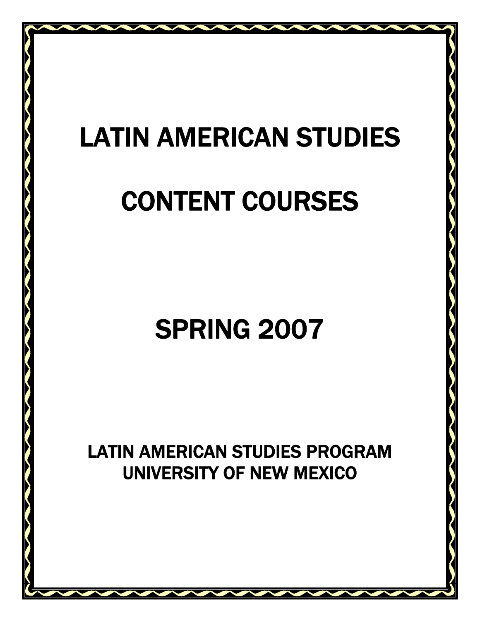# LATIN AMERICAN STUDIES

## CONTENT COURSES

## SPRING 2007

 LATIN AMERICAN STUDIES PROGRAM UNIVERSITY OF NEW MEXICO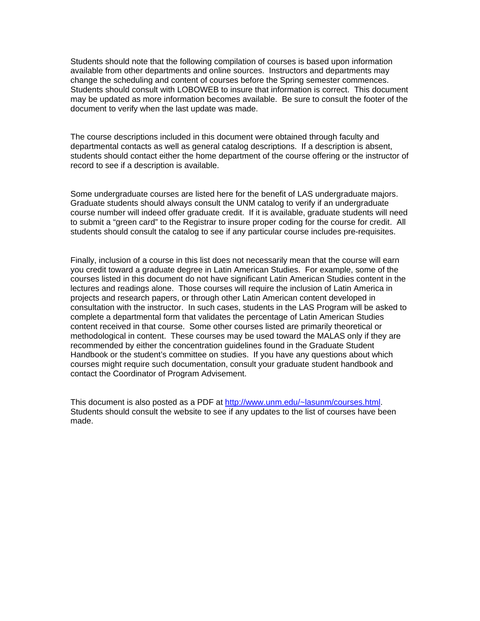Students should note that the following compilation of courses is based upon information available from other departments and online sources. Instructors and departments may change the scheduling and content of courses before the Spring semester commences. Students should consult with LOBOWEB to insure that information is correct. This document may be updated as more information becomes available. Be sure to consult the footer of the document to verify when the last update was made.

The course descriptions included in this document were obtained through faculty and departmental contacts as well as general catalog descriptions. If a description is absent, students should contact either the home department of the course offering or the instructor of record to see if a description is available.

Some undergraduate courses are listed here for the benefit of LAS undergraduate majors. Graduate students should always consult the UNM catalog to verify if an undergraduate course number will indeed offer graduate credit. If it is available, graduate students will need to submit a "green card" to the Registrar to insure proper coding for the course for credit. All students should consult the catalog to see if any particular course includes pre-requisites.

Finally, inclusion of a course in this list does not necessarily mean that the course will earn you credit toward a graduate degree in Latin American Studies. For example, some of the courses listed in this document do not have significant Latin American Studies content in the lectures and readings alone. Those courses will require the inclusion of Latin America in projects and research papers, or through other Latin American content developed in consultation with the instructor. In such cases, students in the LAS Program will be asked to complete a departmental form that validates the percentage of Latin American Studies content received in that course. Some other courses listed are primarily theoretical or methodological in content. These courses may be used toward the MALAS only if they are recommended by either the concentration guidelines found in the Graduate Student Handbook or the student's committee on studies. If you have any questions about which courses might require such documentation, consult your graduate student handbook and contact the Coordinator of Program Advisement.

This document is also posted as a PDF at [http://www.unm.edu/~lasunm/courses.html](http://www.unm.edu/%7Elasunm/courses.html). Students should consult the website to see if any updates to the list of courses have been made.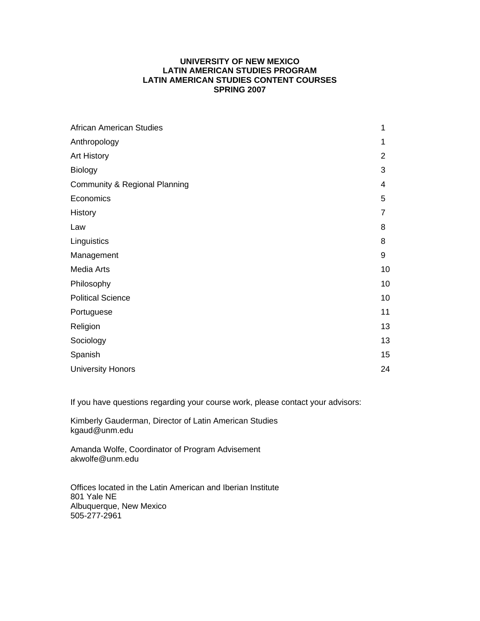## **UNIVERSITY OF NEW MEXICO LATIN AMERICAN STUDIES PROGRAM LATIN AMERICAN STUDIES CONTENT COURSES SPRING 2007**

| 1              |
|----------------|
| 1              |
| $\overline{2}$ |
| 3              |
| $\overline{4}$ |
| 5              |
| $\overline{7}$ |
| 8              |
| 8              |
| 9              |
| 10             |
| 10             |
| 10             |
| 11             |
| 13             |
| 13             |
| 15             |
| 24             |
|                |

If you have questions regarding your course work, please contact your advisors:

Kimberly Gauderman, Director of Latin American Studies kgaud@unm.edu

Amanda Wolfe, Coordinator of Program Advisement akwolfe@unm.edu

Offices located in the Latin American and Iberian Institute 801 Yale NE Albuquerque, New Mexico 505-277-2961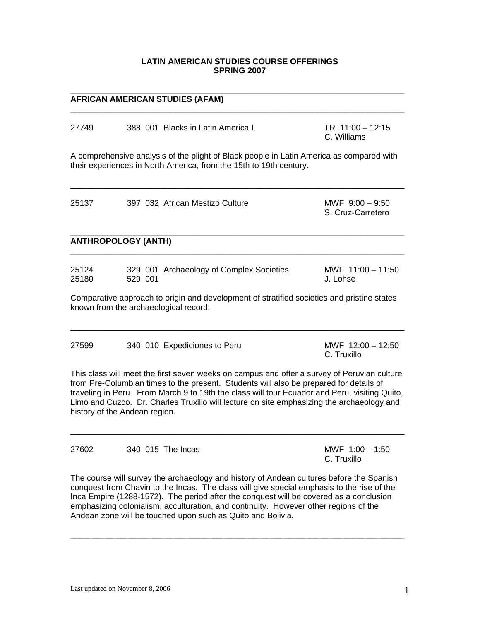## **LATIN AMERICAN STUDIES COURSE OFFERINGS SPRING 2007**

 $\_$  ,  $\_$  ,  $\_$  ,  $\_$  ,  $\_$  ,  $\_$  ,  $\_$  ,  $\_$  ,  $\_$  ,  $\_$  ,  $\_$  ,  $\_$  ,  $\_$  ,  $\_$  ,  $\_$  ,  $\_$  ,  $\_$  ,  $\_$  ,  $\_$  ,  $\_$  ,  $\_$  ,  $\_$  ,  $\_$  ,  $\_$  ,  $\_$  ,  $\_$  ,  $\_$  ,  $\_$  ,  $\_$  ,  $\_$  ,  $\_$  ,  $\_$  ,  $\_$  ,  $\_$  ,  $\_$  ,  $\_$  ,  $\_$  ,

### **AFRICAN AMERICAN STUDIES (AFAM)**

| 27749                         |         | 388 001 Blacks in Latin America I                                                                                                                                                                                                                                                                                                                                                   | TR $11:00 - 12:15$<br>C. Williams      |
|-------------------------------|---------|-------------------------------------------------------------------------------------------------------------------------------------------------------------------------------------------------------------------------------------------------------------------------------------------------------------------------------------------------------------------------------------|----------------------------------------|
|                               |         | A comprehensive analysis of the plight of Black people in Latin America as compared with<br>their experiences in North America, from the 15th to 19th century.                                                                                                                                                                                                                      |                                        |
| 25137                         |         | 397 032 African Mestizo Culture                                                                                                                                                                                                                                                                                                                                                     | MWF $9:00 - 9:50$<br>S. Cruz-Carretero |
| <b>ANTHROPOLOGY (ANTH)</b>    |         |                                                                                                                                                                                                                                                                                                                                                                                     |                                        |
| 25124<br>25180                | 529 001 | 329 001 Archaeology of Complex Societies                                                                                                                                                                                                                                                                                                                                            | MWF $11:00 - 11:50$<br>J. Lohse        |
|                               |         | Comparative approach to origin and development of stratified societies and pristine states<br>known from the archaeological record.                                                                                                                                                                                                                                                 |                                        |
| 27599                         |         | 340 010 Expediciones to Peru                                                                                                                                                                                                                                                                                                                                                        | MWF $12:00 - 12:50$<br>C. Truxillo     |
| history of the Andean region. |         | This class will meet the first seven weeks on campus and offer a survey of Peruvian culture<br>from Pre-Columbian times to the present. Students will also be prepared for details of<br>traveling in Peru. From March 9 to 19th the class will tour Ecuador and Peru, visiting Quito,<br>Limo and Cuzco. Dr. Charles Truxillo will lecture on site emphasizing the archaeology and |                                        |

27602 340 015 The Incas MWF 1:00 – 1:50

C. Truxillo

The course will survey the archaeology and history of Andean cultures before the Spanish conquest from Chavin to the Incas. The class will give special emphasis to the rise of the Inca Empire (1288-1572). The period after the conquest will be covered as a conclusion emphasizing colonialism, acculturation, and continuity. However other regions of the Andean zone will be touched upon such as Quito and Bolivia.

 $\_$  ,  $\_$  ,  $\_$  ,  $\_$  ,  $\_$  ,  $\_$  ,  $\_$  ,  $\_$  ,  $\_$  ,  $\_$  ,  $\_$  ,  $\_$  ,  $\_$  ,  $\_$  ,  $\_$  ,  $\_$  ,  $\_$  ,  $\_$  ,  $\_$  ,  $\_$  ,  $\_$  ,  $\_$  ,  $\_$  ,  $\_$  ,  $\_$  ,  $\_$  ,  $\_$  ,  $\_$  ,  $\_$  ,  $\_$  ,  $\_$  ,  $\_$  ,  $\_$  ,  $\_$  ,  $\_$  ,  $\_$  ,  $\_$  ,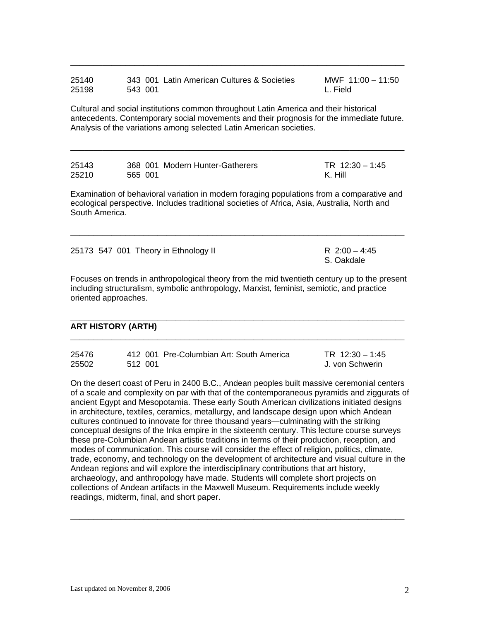| 25140 | 343 001 Latin American Cultures & Societies | MWF $11:00 - 11:50$ |
|-------|---------------------------------------------|---------------------|
| 25198 | 543 001                                     | L. Field            |

Cultural and social institutions common throughout Latin America and their historical antecedents. Contemporary social movements and their prognosis for the immediate future. Analysis of the variations among selected Latin American societies.

 $\overline{\phantom{a}}$  ,  $\overline{\phantom{a}}$  ,  $\overline{\phantom{a}}$  ,  $\overline{\phantom{a}}$  ,  $\overline{\phantom{a}}$  ,  $\overline{\phantom{a}}$  ,  $\overline{\phantom{a}}$  ,  $\overline{\phantom{a}}$  ,  $\overline{\phantom{a}}$  ,  $\overline{\phantom{a}}$  ,  $\overline{\phantom{a}}$  ,  $\overline{\phantom{a}}$  ,  $\overline{\phantom{a}}$  ,  $\overline{\phantom{a}}$  ,  $\overline{\phantom{a}}$  ,  $\overline{\phantom{a}}$ 

| 25143 | 368 001 Modern Hunter-Gatherers | TR $12:30 - 1:45$ |
|-------|---------------------------------|-------------------|
| 25210 | 565 001                         | K. Hill           |

Examination of behavioral variation in modern foraging populations from a comparative and ecological perspective. Includes traditional societies of Africa, Asia, Australia, North and South America.

 $\overline{\phantom{a}}$  ,  $\overline{\phantom{a}}$  ,  $\overline{\phantom{a}}$  ,  $\overline{\phantom{a}}$  ,  $\overline{\phantom{a}}$  ,  $\overline{\phantom{a}}$  ,  $\overline{\phantom{a}}$  ,  $\overline{\phantom{a}}$  ,  $\overline{\phantom{a}}$  ,  $\overline{\phantom{a}}$  ,  $\overline{\phantom{a}}$  ,  $\overline{\phantom{a}}$  ,  $\overline{\phantom{a}}$  ,  $\overline{\phantom{a}}$  ,  $\overline{\phantom{a}}$  ,  $\overline{\phantom{a}}$ 

|  | 25173 547 001 Theory in Ethnology II | R 2:00 - 4:45 |  |
|--|--------------------------------------|---------------|--|
|  |                                      | S. Oakdale    |  |

Focuses on trends in anthropological theory from the mid twentieth century up to the present including structuralism, symbolic anthropology, Marxist, feminist, semiotic, and practice oriented approaches.

 $\overline{\phantom{a}}$  , and the set of the set of the set of the set of the set of the set of the set of the set of the set of the set of the set of the set of the set of the set of the set of the set of the set of the set of the s

 $\overline{\phantom{a}}$  ,  $\overline{\phantom{a}}$  ,  $\overline{\phantom{a}}$  ,  $\overline{\phantom{a}}$  ,  $\overline{\phantom{a}}$  ,  $\overline{\phantom{a}}$  ,  $\overline{\phantom{a}}$  ,  $\overline{\phantom{a}}$  ,  $\overline{\phantom{a}}$  ,  $\overline{\phantom{a}}$  ,  $\overline{\phantom{a}}$  ,  $\overline{\phantom{a}}$  ,  $\overline{\phantom{a}}$  ,  $\overline{\phantom{a}}$  ,  $\overline{\phantom{a}}$  ,  $\overline{\phantom{a}}$ 

#### **ART HISTORY (ARTH)**

| 25476 | 412 001 Pre-Columbian Art: South America | TR $12:30 - 1:45$ |
|-------|------------------------------------------|-------------------|
| 25502 | 512 001                                  | J. von Schwerin   |

On the desert coast of Peru in 2400 B.C., Andean peoples built massive ceremonial centers of a scale and complexity on par with that of the contemporaneous pyramids and ziggurats of ancient Egypt and Mesopotamia. These early South American civilizations initiated designs in architecture, textiles, ceramics, metallurgy, and landscape design upon which Andean cultures continued to innovate for three thousand years—culminating with the striking conceptual designs of the Inka empire in the sixteenth century. This lecture course surveys these pre-Columbian Andean artistic traditions in terms of their production, reception, and modes of communication. This course will consider the effect of religion, politics, climate, trade, economy, and technology on the development of architecture and visual culture in the Andean regions and will explore the interdisciplinary contributions that art history, archaeology, and anthropology have made. Students will complete short projects on collections of Andean artifacts in the Maxwell Museum. Requirements include weekly readings, midterm, final, and short paper.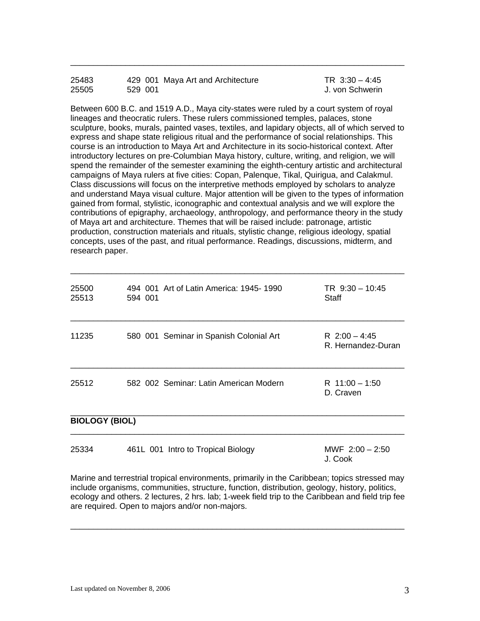| 25483 |         | 429 001 Maya Art and Architecture | TR $3:30 - 4:45$ |
|-------|---------|-----------------------------------|------------------|
| 25505 | 529 001 |                                   | J. von Schwerin  |

Between 600 B.C. and 1519 A.D., Maya city-states were ruled by a court system of royal lineages and theocratic rulers. These rulers commissioned temples, palaces, stone sculpture, books, murals, painted vases, textiles, and lapidary objects, all of which served to express and shape state religious ritual and the performance of social relationships. This course is an introduction to Maya Art and Architecture in its socio-historical context. After introductory lectures on pre-Columbian Maya history, culture, writing, and religion, we will spend the remainder of the semester examining the eighth-century artistic and architectural campaigns of Maya rulers at five cities: Copan, Palenque, Tikal, Quirigua, and Calakmul. Class discussions will focus on the interpretive methods employed by scholars to analyze and understand Maya visual culture. Major attention will be given to the types of information gained from formal, stylistic, iconographic and contextual analysis and we will explore the contributions of epigraphy, archaeology, anthropology, and performance theory in the study of Maya art and architecture. Themes that will be raised include: patronage, artistic production, construction materials and rituals, stylistic change, religious ideology, spatial concepts, uses of the past, and ritual performance. Readings, discussions, midterm, and research paper.

\_\_\_\_\_\_\_\_\_\_\_\_\_\_\_\_\_\_\_\_\_\_\_\_\_\_\_\_\_\_\_\_\_\_\_\_\_\_\_\_\_\_\_\_\_\_\_\_\_\_\_\_\_\_\_\_\_\_\_\_\_\_\_\_\_\_\_\_\_\_\_\_\_

| 25500<br>25513        | 494 001 Art of Latin America: 1945-1990<br>594 001 | $TR \t9:30 - 10:45$<br>Staff          |
|-----------------------|----------------------------------------------------|---------------------------------------|
| 11235                 | 580 001 Seminar in Spanish Colonial Art            | R $2:00 - 4:45$<br>R. Hernandez-Duran |
| 25512                 | 582 002 Seminar: Latin American Modern             | R $11:00 - 1:50$<br>D. Craven         |
| <b>BIOLOGY (BIOL)</b> |                                                    |                                       |

| 25334 | 461L 001 Intro to Tropical Biology | MWF $2:00 - 2:50$ |
|-------|------------------------------------|-------------------|
|       |                                    | J. Cook           |

Marine and terrestrial tropical environments, primarily in the Caribbean; topics stressed may include organisms, communities, structure, function, distribution, geology, history, politics, ecology and others. 2 lectures, 2 hrs. lab; 1-week field trip to the Caribbean and field trip fee are required. Open to majors and/or non-majors.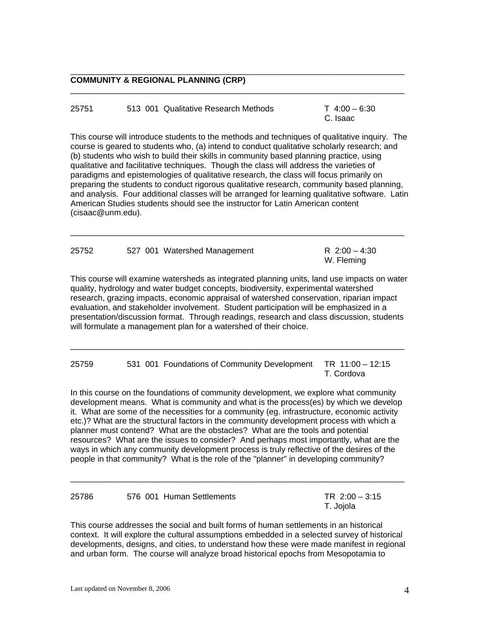25751 513 001 Qualitative Research Methods T 4:00 – 6:30 C. Isaac

 $\overline{\phantom{a}}$  ,  $\overline{\phantom{a}}$  ,  $\overline{\phantom{a}}$  ,  $\overline{\phantom{a}}$  ,  $\overline{\phantom{a}}$  ,  $\overline{\phantom{a}}$  ,  $\overline{\phantom{a}}$  ,  $\overline{\phantom{a}}$  ,  $\overline{\phantom{a}}$  ,  $\overline{\phantom{a}}$  ,  $\overline{\phantom{a}}$  ,  $\overline{\phantom{a}}$  ,  $\overline{\phantom{a}}$  ,  $\overline{\phantom{a}}$  ,  $\overline{\phantom{a}}$  ,  $\overline{\phantom{a}}$ 

This course will introduce students to the methods and techniques of qualitative inquiry. The course is geared to students who, (a) intend to conduct qualitative scholarly research; and (b) students who wish to build their skills in community based planning practice, using qualitative and facilitative techniques. Though the class will address the varieties of paradigms and epistemologies of qualitative research, the class will focus primarily on preparing the students to conduct rigorous qualitative research, community based planning, and analysis. Four additional classes will be arranged for learning qualitative software. Latin American Studies students should see the instructor for Latin American content (cisaac@unm.edu).

| 25752 | 527 001 Watershed Management | R 2:00 - 4:30<br>W. Fleming |
|-------|------------------------------|-----------------------------|
|       |                              |                             |

 $\overline{\phantom{a}}$  ,  $\overline{\phantom{a}}$  ,  $\overline{\phantom{a}}$  ,  $\overline{\phantom{a}}$  ,  $\overline{\phantom{a}}$  ,  $\overline{\phantom{a}}$  ,  $\overline{\phantom{a}}$  ,  $\overline{\phantom{a}}$  ,  $\overline{\phantom{a}}$  ,  $\overline{\phantom{a}}$  ,  $\overline{\phantom{a}}$  ,  $\overline{\phantom{a}}$  ,  $\overline{\phantom{a}}$  ,  $\overline{\phantom{a}}$  ,  $\overline{\phantom{a}}$  ,  $\overline{\phantom{a}}$ 

This course will examine watersheds as integrated planning units, land use impacts on water quality, hydrology and water budget concepts, biodiversity, experimental watershed research, grazing impacts, economic appraisal of watershed conservation, riparian impact evaluation, and stakeholder involvement. Student participation will be emphasized in a presentation/discussion format. Through readings, research and class discussion, students will formulate a management plan for a watershed of their choice.

 $\overline{\phantom{a}}$  ,  $\overline{\phantom{a}}$  ,  $\overline{\phantom{a}}$  ,  $\overline{\phantom{a}}$  ,  $\overline{\phantom{a}}$  ,  $\overline{\phantom{a}}$  ,  $\overline{\phantom{a}}$  ,  $\overline{\phantom{a}}$  ,  $\overline{\phantom{a}}$  ,  $\overline{\phantom{a}}$  ,  $\overline{\phantom{a}}$  ,  $\overline{\phantom{a}}$  ,  $\overline{\phantom{a}}$  ,  $\overline{\phantom{a}}$  ,  $\overline{\phantom{a}}$  ,  $\overline{\phantom{a}}$ 

25759 531 001 Foundations of Community Development TR 11:00 – 12:15 T. Cordova

In this course on the foundations of community development, we explore what community development means. What is community and what is the process(es) by which we develop it. What are some of the necessities for a community (eg. infrastructure, economic activity etc.)? What are the structural factors in the community development process with which a planner must contend? What are the obstacles? What are the tools and potential resources? What are the issues to consider? And perhaps most importantly, what are the ways in which any community development process is truly reflective of the desires of the people in that community? What is the role of the "planner" in developing community?

| 25786 | 576 001 Human Settlements | TR $2:00 - 3:15$ |
|-------|---------------------------|------------------|
|       |                           | T. Jojola        |

 $\overline{\phantom{a}}$  ,  $\overline{\phantom{a}}$  ,  $\overline{\phantom{a}}$  ,  $\overline{\phantom{a}}$  ,  $\overline{\phantom{a}}$  ,  $\overline{\phantom{a}}$  ,  $\overline{\phantom{a}}$  ,  $\overline{\phantom{a}}$  ,  $\overline{\phantom{a}}$  ,  $\overline{\phantom{a}}$  ,  $\overline{\phantom{a}}$  ,  $\overline{\phantom{a}}$  ,  $\overline{\phantom{a}}$  ,  $\overline{\phantom{a}}$  ,  $\overline{\phantom{a}}$  ,  $\overline{\phantom{a}}$ 

This course addresses the social and built forms of human settlements in an historical context. It will explore the cultural assumptions embedded in a selected survey of historical developments, designs, and cities, to understand how these were made manifest in regional and urban form. The course will analyze broad historical epochs from Mesopotamia to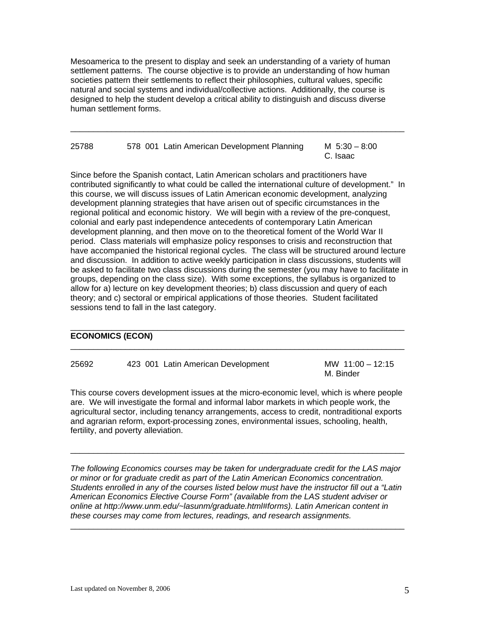Mesoamerica to the present to display and seek an understanding of a variety of human settlement patterns. The course objective is to provide an understanding of how human societies pattern their settlements to reflect their philosophies, cultural values, specific natural and social systems and individual/collective actions. Additionally, the course is designed to help the student develop a critical ability to distinguish and discuss diverse human settlement forms.

\_\_\_\_\_\_\_\_\_\_\_\_\_\_\_\_\_\_\_\_\_\_\_\_\_\_\_\_\_\_\_\_\_\_\_\_\_\_\_\_\_\_\_\_\_\_\_\_\_\_\_\_\_\_\_\_\_\_\_\_\_\_\_\_\_\_\_\_\_\_\_\_\_

25788 578 001 Latin American Development Planning M 5:30 – 8:00 C. Isaac

Since before the Spanish contact, Latin American scholars and practitioners have contributed significantly to what could be called the international culture of development." In this course, we will discuss issues of Latin American economic development, analyzing development planning strategies that have arisen out of specific circumstances in the regional political and economic history. We will begin with a review of the pre-conquest, colonial and early past independence antecedents of contemporary Latin American development planning, and then move on to the theoretical foment of the World War II period. Class materials will emphasize policy responses to crisis and reconstruction that have accompanied the historical regional cycles. The class will be structured around lecture and discussion. In addition to active weekly participation in class discussions, students will be asked to facilitate two class discussions during the semester (you may have to facilitate in groups, depending on the class size). With some exceptions, the syllabus is organized to allow for a) lecture on key development theories; b) class discussion and query of each theory; and c) sectoral or empirical applications of those theories. Student facilitated sessions tend to fall in the last category.

## **ECONOMICS (ECON)**

| 25692 | 423 001 Latin American Development | MW 11:00 - 12:15 |
|-------|------------------------------------|------------------|
|       |                                    | M. Binder        |

 $\_$  ,  $\_$  ,  $\_$  ,  $\_$  ,  $\_$  ,  $\_$  ,  $\_$  ,  $\_$  ,  $\_$  ,  $\_$  ,  $\_$  ,  $\_$  ,  $\_$  ,  $\_$  ,  $\_$  ,  $\_$  ,  $\_$  ,  $\_$  ,  $\_$  ,  $\_$  ,  $\_$  ,  $\_$  ,  $\_$  ,  $\_$  ,  $\_$  ,  $\_$  ,  $\_$  ,  $\_$  ,  $\_$  ,  $\_$  ,  $\_$  ,  $\_$  ,  $\_$  ,  $\_$  ,  $\_$  ,  $\_$  ,  $\_$  ,

 $\_$  ,  $\_$  ,  $\_$  ,  $\_$  ,  $\_$  ,  $\_$  ,  $\_$  ,  $\_$  ,  $\_$  ,  $\_$  ,  $\_$  ,  $\_$  ,  $\_$  ,  $\_$  ,  $\_$  ,  $\_$  ,  $\_$  ,  $\_$  ,  $\_$  ,  $\_$  ,  $\_$  ,  $\_$  ,  $\_$  ,  $\_$  ,  $\_$  ,  $\_$  ,  $\_$  ,  $\_$  ,  $\_$  ,  $\_$  ,  $\_$  ,  $\_$  ,  $\_$  ,  $\_$  ,  $\_$  ,  $\_$  ,  $\_$  ,

This course covers development issues at the micro-economic level, which is where people are. We will investigate the formal and informal labor markets in which people work, the agricultural sector, including tenancy arrangements, access to credit, nontraditional exports and agrarian reform, export-processing zones, environmental issues, schooling, health, fertility, and poverty alleviation.

 $\overline{\phantom{a}}$  ,  $\overline{\phantom{a}}$  ,  $\overline{\phantom{a}}$  ,  $\overline{\phantom{a}}$  ,  $\overline{\phantom{a}}$  ,  $\overline{\phantom{a}}$  ,  $\overline{\phantom{a}}$  ,  $\overline{\phantom{a}}$  ,  $\overline{\phantom{a}}$  ,  $\overline{\phantom{a}}$  ,  $\overline{\phantom{a}}$  ,  $\overline{\phantom{a}}$  ,  $\overline{\phantom{a}}$  ,  $\overline{\phantom{a}}$  ,  $\overline{\phantom{a}}$  ,  $\overline{\phantom{a}}$ 

*The following Economics courses may be taken for undergraduate credit for the LAS major or minor or for graduate credit as part of the Latin American Economics concentration. Students enrolled in any of the courses listed below must have the instructor fill out a "Latin American Economics Elective Course Form" (available from the LAS student adviser or online at http://www.unm.edu/~lasunm/graduate.html#forms). Latin American content in these courses may come from lectures, readings, and research assignments.*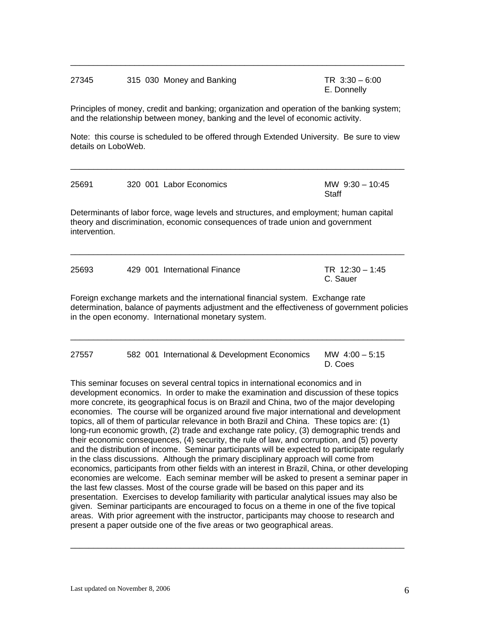## 27345 315 030 Money and Banking TR 3:30 – 6:00 E. Donnelly

Principles of money, credit and banking; organization and operation of the banking system; and the relationship between money, banking and the level of economic activity.

 $\overline{\phantom{a}}$  ,  $\overline{\phantom{a}}$  ,  $\overline{\phantom{a}}$  ,  $\overline{\phantom{a}}$  ,  $\overline{\phantom{a}}$  ,  $\overline{\phantom{a}}$  ,  $\overline{\phantom{a}}$  ,  $\overline{\phantom{a}}$  ,  $\overline{\phantom{a}}$  ,  $\overline{\phantom{a}}$  ,  $\overline{\phantom{a}}$  ,  $\overline{\phantom{a}}$  ,  $\overline{\phantom{a}}$  ,  $\overline{\phantom{a}}$  ,  $\overline{\phantom{a}}$  ,  $\overline{\phantom{a}}$ 

Note: this course is scheduled to be offered through Extended University. Be sure to view details on LoboWeb.

 $\overline{\phantom{a}}$  ,  $\overline{\phantom{a}}$  ,  $\overline{\phantom{a}}$  ,  $\overline{\phantom{a}}$  ,  $\overline{\phantom{a}}$  ,  $\overline{\phantom{a}}$  ,  $\overline{\phantom{a}}$  ,  $\overline{\phantom{a}}$  ,  $\overline{\phantom{a}}$  ,  $\overline{\phantom{a}}$  ,  $\overline{\phantom{a}}$  ,  $\overline{\phantom{a}}$  ,  $\overline{\phantom{a}}$  ,  $\overline{\phantom{a}}$  ,  $\overline{\phantom{a}}$  ,  $\overline{\phantom{a}}$ 

| 25691         | 320 001 Labor Economics                                                                                                               | MW $9:30 - 10:45$<br>Staff                                                                 |
|---------------|---------------------------------------------------------------------------------------------------------------------------------------|--------------------------------------------------------------------------------------------|
| intervention. | theory and discrimination, economic consequences of trade union and government                                                        | Determinants of labor force, wage levels and structures, and employment; human capital     |
| 25693         | 429 001 International Finance                                                                                                         | TR $12:30 - 1:45$<br>C. Sauer                                                              |
|               | Foreign exchange markets and the international financial system. Exchange rate<br>in the open economy. International monetary system. | determination, balance of payments adjustment and the effectiveness of government policies |

 $\overline{\phantom{a}}$  ,  $\overline{\phantom{a}}$  ,  $\overline{\phantom{a}}$  ,  $\overline{\phantom{a}}$  ,  $\overline{\phantom{a}}$  ,  $\overline{\phantom{a}}$  ,  $\overline{\phantom{a}}$  ,  $\overline{\phantom{a}}$  ,  $\overline{\phantom{a}}$  ,  $\overline{\phantom{a}}$  ,  $\overline{\phantom{a}}$  ,  $\overline{\phantom{a}}$  ,  $\overline{\phantom{a}}$  ,  $\overline{\phantom{a}}$  ,  $\overline{\phantom{a}}$  ,  $\overline{\phantom{a}}$ 

27557 582 001 International & Development Economics MW 4:00 – 5:15 D. Coes

This seminar focuses on several central topics in international economics and in development economics. In order to make the examination and discussion of these topics more concrete, its geographical focus is on Brazil and China, two of the major developing economies. The course will be organized around five major international and development topics, all of them of particular relevance in both Brazil and China. These topics are: (1) long-run economic growth, (2) trade and exchange rate policy, (3) demographic trends and their economic consequences, (4) security, the rule of law, and corruption, and (5) poverty and the distribution of income. Seminar participants will be expected to participate regularly in the class discussions. Although the primary disciplinary approach will come from economics, participants from other fields with an interest in Brazil, China, or other developing economies are welcome. Each seminar member will be asked to present a seminar paper in the last few classes. Most of the course grade will be based on this paper and its presentation. Exercises to develop familiarity with particular analytical issues may also be given. Seminar participants are encouraged to focus on a theme in one of the five topical areas. With prior agreement with the instructor, participants may choose to research and present a paper outside one of the five areas or two geographical areas.

 $\_$  ,  $\_$  ,  $\_$  ,  $\_$  ,  $\_$  ,  $\_$  ,  $\_$  ,  $\_$  ,  $\_$  ,  $\_$  ,  $\_$  ,  $\_$  ,  $\_$  ,  $\_$  ,  $\_$  ,  $\_$  ,  $\_$  ,  $\_$  ,  $\_$  ,  $\_$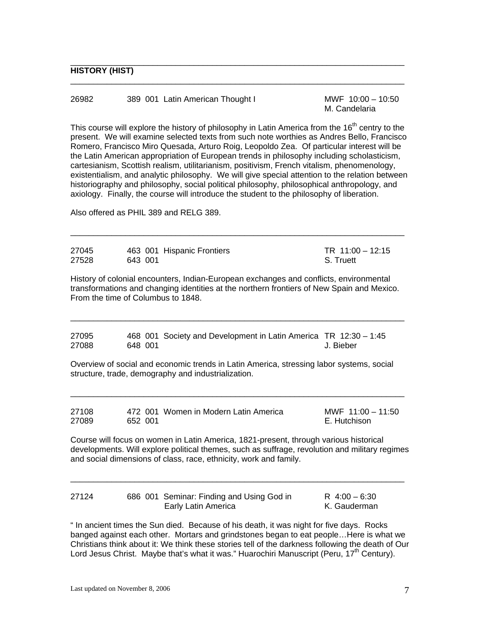| 26982 | 389 001 Latin American Thought I | MWF 10:00 - 10:50 |
|-------|----------------------------------|-------------------|
|       |                                  | M. Candelaria     |

\_\_\_\_\_\_\_\_\_\_\_\_\_\_\_\_\_\_\_\_\_\_\_\_\_\_\_\_\_\_\_\_\_\_\_\_\_\_\_\_\_\_\_\_\_\_\_\_\_\_\_\_\_\_\_\_\_\_\_\_\_\_\_\_\_\_\_\_\_\_\_\_\_

This course will explore the history of philosophy in Latin America from the  $16<sup>th</sup>$  centry to the present. We will examine selected texts from such note worthies as Andres Bello, Francisco Romero, Francisco Miro Quesada, Arturo Roig, Leopoldo Zea. Of particular interest will be the Latin American appropriation of European trends in philosophy including scholasticism, cartesianism, Scottish realism, utilitarianism, positivism, French vitalism, phenomenology, existentialism, and analytic philosophy. We will give special attention to the relation between historiography and philosophy, social political philosophy, philosophical anthropology, and axiology. Finally, the course will introduce the student to the philosophy of liberation.

Also offered as PHIL 389 and RELG 389.

| 27045<br>27528 | 643 001 | 463 001 Hispanic Frontiers                                                                                                                                                                                                                                   | TR 11:00 - 12:15<br>S. Truett       |
|----------------|---------|--------------------------------------------------------------------------------------------------------------------------------------------------------------------------------------------------------------------------------------------------------------|-------------------------------------|
|                |         | History of colonial encounters, Indian-European exchanges and conflicts, environmental<br>transformations and changing identities at the northern frontiers of New Spain and Mexico.<br>From the time of Columbus to 1848.                                   |                                     |
| 27095<br>27088 | 648 001 | 468 001 Society and Development in Latin America TR 12:30 - 1:45                                                                                                                                                                                             | J. Bieber                           |
|                |         | Overview of social and economic trends in Latin America, stressing labor systems, social<br>structure, trade, demography and industrialization.                                                                                                              |                                     |
| 27108<br>27089 | 652 001 | 472 001 Women in Modern Latin America                                                                                                                                                                                                                        | MWF $11:00 - 11:50$<br>E. Hutchison |
|                |         | Course will focus on women in Latin America, 1821-present, through various historical<br>developments. Will explore political themes, such as suffrage, revolution and military regimes<br>and social dimensions of class, race, ethnicity, work and family. |                                     |
| 27124          |         | 686 001 Seminar: Finding and Using God in<br>Early Latin America                                                                                                                                                                                             | $R$ 4:00 - 6:30<br>K. Gauderman     |

" In ancient times the Sun died. Because of his death, it was night for five days. Rocks banged against each other. Mortars and grindstones began to eat people…Here is what we Christians think about it: We think these stories tell of the darkness following the death of Our Lord Jesus Christ. Maybe that's what it was." Huarochiri Manuscript (Peru, 17<sup>th</sup> Century).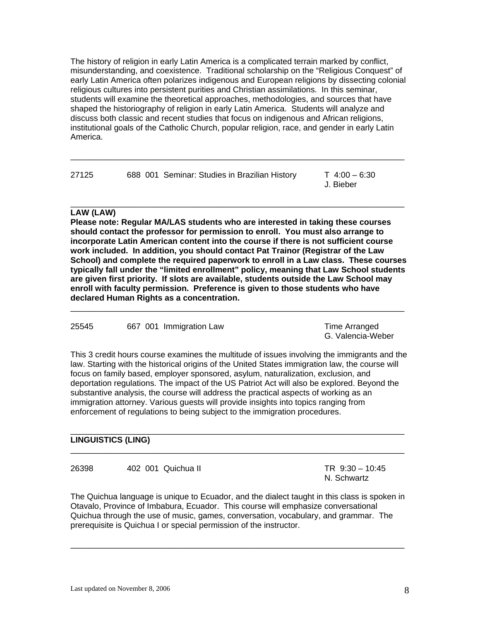The history of religion in early Latin America is a complicated terrain marked by conflict, misunderstanding, and coexistence. Traditional scholarship on the "Religious Conquest" of early Latin America often polarizes indigenous and European religions by dissecting colonial religious cultures into persistent purities and Christian assimilations. In this seminar, students will examine the theoretical approaches, methodologies, and sources that have shaped the historiography of religion in early Latin America. Students will analyze and discuss both classic and recent studies that focus on indigenous and African religions, institutional goals of the Catholic Church, popular religion, race, and gender in early Latin America.

 $\overline{\phantom{a}}$  ,  $\overline{\phantom{a}}$  ,  $\overline{\phantom{a}}$  ,  $\overline{\phantom{a}}$  ,  $\overline{\phantom{a}}$  ,  $\overline{\phantom{a}}$  ,  $\overline{\phantom{a}}$  ,  $\overline{\phantom{a}}$  ,  $\overline{\phantom{a}}$  ,  $\overline{\phantom{a}}$  ,  $\overline{\phantom{a}}$  ,  $\overline{\phantom{a}}$  ,  $\overline{\phantom{a}}$  ,  $\overline{\phantom{a}}$  ,  $\overline{\phantom{a}}$  ,  $\overline{\phantom{a}}$ 

 $\overline{\phantom{a}}$  ,  $\overline{\phantom{a}}$  ,  $\overline{\phantom{a}}$  ,  $\overline{\phantom{a}}$  ,  $\overline{\phantom{a}}$  ,  $\overline{\phantom{a}}$  ,  $\overline{\phantom{a}}$  ,  $\overline{\phantom{a}}$  ,  $\overline{\phantom{a}}$  ,  $\overline{\phantom{a}}$  ,  $\overline{\phantom{a}}$  ,  $\overline{\phantom{a}}$  ,  $\overline{\phantom{a}}$  ,  $\overline{\phantom{a}}$  ,  $\overline{\phantom{a}}$  ,  $\overline{\phantom{a}}$ 

| 27125                                         | T 4:00 – 6:30 |
|-----------------------------------------------|---------------|
| 688 001 Seminar: Studies in Brazilian History | J. Bieber     |

## **LAW (LAW)**

**Please note: Regular MA/LAS students who are interested in taking these courses should contact the professor for permission to enroll. You must also arrange to incorporate Latin American content into the course if there is not sufficient course work included. In addition, you should contact Pat Trainor (Registrar of the Law School) and complete the required paperwork to enroll in a Law class. These courses typically fall under the "limited enrollment" policy, meaning that Law School students are given first priority. If slots are available, students outside the Law School may enroll with faculty permission. Preference is given to those students who have declared Human Rights as a concentration.** 

 $\overline{\phantom{a}}$  ,  $\overline{\phantom{a}}$  ,  $\overline{\phantom{a}}$  ,  $\overline{\phantom{a}}$  ,  $\overline{\phantom{a}}$  ,  $\overline{\phantom{a}}$  ,  $\overline{\phantom{a}}$  ,  $\overline{\phantom{a}}$  ,  $\overline{\phantom{a}}$  ,  $\overline{\phantom{a}}$  ,  $\overline{\phantom{a}}$  ,  $\overline{\phantom{a}}$  ,  $\overline{\phantom{a}}$  ,  $\overline{\phantom{a}}$  ,  $\overline{\phantom{a}}$  ,  $\overline{\phantom{a}}$ 

25545 667 001 Immigration Law Time Arranged

G. Valencia-Weber

This 3 credit hours course examines the multitude of issues involving the immigrants and the law. Starting with the historical origins of the United States immigration law, the course will focus on family based, employer sponsored, asylum, naturalization, exclusion, and deportation regulations. The impact of the US Patriot Act will also be explored. Beyond the substantive analysis, the course will address the practical aspects of working as an immigration attorney. Various guests will provide insights into topics ranging from enforcement of regulations to being subject to the immigration procedures.

### $\overline{\phantom{a}}$  ,  $\overline{\phantom{a}}$  ,  $\overline{\phantom{a}}$  ,  $\overline{\phantom{a}}$  ,  $\overline{\phantom{a}}$  ,  $\overline{\phantom{a}}$  ,  $\overline{\phantom{a}}$  ,  $\overline{\phantom{a}}$  ,  $\overline{\phantom{a}}$  ,  $\overline{\phantom{a}}$  ,  $\overline{\phantom{a}}$  ,  $\overline{\phantom{a}}$  ,  $\overline{\phantom{a}}$  ,  $\overline{\phantom{a}}$  ,  $\overline{\phantom{a}}$  ,  $\overline{\phantom{a}}$ **LINGUISTICS (LING)**

26398 402 001 Quichua II TR 9:30 – 10:45

N. Schwartz

The Quichua language is unique to Ecuador, and the dialect taught in this class is spoken in Otavalo, Province of Imbabura, Ecuador. This course will emphasize conversational Quichua through the use of music, games, conversation, vocabulary, and grammar. The prerequisite is Quichua I or special permission of the instructor.

 $\overline{\phantom{a}}$  ,  $\overline{\phantom{a}}$  ,  $\overline{\phantom{a}}$  ,  $\overline{\phantom{a}}$  ,  $\overline{\phantom{a}}$  ,  $\overline{\phantom{a}}$  ,  $\overline{\phantom{a}}$  ,  $\overline{\phantom{a}}$  ,  $\overline{\phantom{a}}$  ,  $\overline{\phantom{a}}$  ,  $\overline{\phantom{a}}$  ,  $\overline{\phantom{a}}$  ,  $\overline{\phantom{a}}$  ,  $\overline{\phantom{a}}$  ,  $\overline{\phantom{a}}$  ,  $\overline{\phantom{a}}$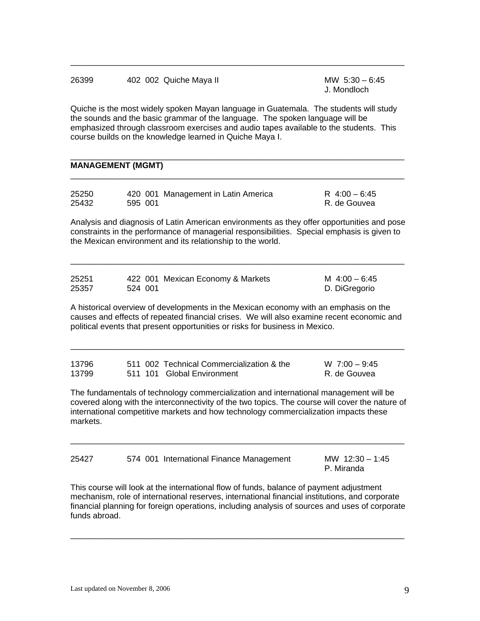| 26399 | 402 002 Quiche Maya II                                                                 | MW $5:30 - 6:45$<br>J. Mondloch |
|-------|----------------------------------------------------------------------------------------|---------------------------------|
|       | Quiche is the meet widely engless Mayon Janguage in Quetemole. The students will study |                                 |

Quiche is the most widely spoken Mayan language in Guatemala. The students will study the sounds and the basic grammar of the language. The spoken language will be emphasized through classroom exercises and audio tapes available to the students. This course builds on the knowledge learned in Quiche Maya I.

 $\overline{\phantom{a}}$  ,  $\overline{\phantom{a}}$  ,  $\overline{\phantom{a}}$  ,  $\overline{\phantom{a}}$  ,  $\overline{\phantom{a}}$  ,  $\overline{\phantom{a}}$  ,  $\overline{\phantom{a}}$  ,  $\overline{\phantom{a}}$  ,  $\overline{\phantom{a}}$  ,  $\overline{\phantom{a}}$  ,  $\overline{\phantom{a}}$  ,  $\overline{\phantom{a}}$  ,  $\overline{\phantom{a}}$  ,  $\overline{\phantom{a}}$  ,  $\overline{\phantom{a}}$  ,  $\overline{\phantom{a}}$ 

\_\_\_\_\_\_\_\_\_\_\_\_\_\_\_\_\_\_\_\_\_\_\_\_\_\_\_\_\_\_\_\_\_\_\_\_\_\_\_\_\_\_\_\_\_\_\_\_\_\_\_\_\_\_\_\_\_\_\_\_\_\_\_\_\_\_\_\_\_\_\_\_\_

## **MANAGEMENT (MGMT)**

| 25250 |         | 420 001 Management in Latin America | R 4:00 - 6:45 |
|-------|---------|-------------------------------------|---------------|
| 25432 | 595 001 |                                     | R. de Gouvea  |

Analysis and diagnosis of Latin American environments as they offer opportunities and pose constraints in the performance of managerial responsibilities. Special emphasis is given to the Mexican environment and its relationship to the world.

 $\_$  ,  $\_$  ,  $\_$  ,  $\_$  ,  $\_$  ,  $\_$  ,  $\_$  ,  $\_$  ,  $\_$  ,  $\_$  ,  $\_$  ,  $\_$  ,  $\_$  ,  $\_$  ,  $\_$  ,  $\_$  ,  $\_$  ,  $\_$  ,  $\_$  ,  $\_$  ,  $\_$  ,  $\_$  ,  $\_$  ,  $\_$  ,  $\_$  ,  $\_$  ,  $\_$  ,  $\_$  ,  $\_$  ,  $\_$  ,  $\_$  ,  $\_$  ,  $\_$  ,  $\_$  ,  $\_$  ,  $\_$  ,  $\_$  ,

| 25251 | 422 001 Mexican Economy & Markets | M $4:00 - 6:45$ |
|-------|-----------------------------------|-----------------|
| 25357 | 524 001                           | D. DiGregorio   |

A historical overview of developments in the Mexican economy with an emphasis on the causes and effects of repeated financial crises. We will also examine recent economic and political events that present opportunities or risks for business in Mexico.

 $\overline{\phantom{a}}$  ,  $\overline{\phantom{a}}$  ,  $\overline{\phantom{a}}$  ,  $\overline{\phantom{a}}$  ,  $\overline{\phantom{a}}$  ,  $\overline{\phantom{a}}$  ,  $\overline{\phantom{a}}$  ,  $\overline{\phantom{a}}$  ,  $\overline{\phantom{a}}$  ,  $\overline{\phantom{a}}$  ,  $\overline{\phantom{a}}$  ,  $\overline{\phantom{a}}$  ,  $\overline{\phantom{a}}$  ,  $\overline{\phantom{a}}$  ,  $\overline{\phantom{a}}$  ,  $\overline{\phantom{a}}$ 

| 13796 |  | 511 002 Technical Commercialization & the | $W$ 7:00 - 9:45 |
|-------|--|-------------------------------------------|-----------------|
| 13799 |  | 511 101 Global Environment                | R. de Gouvea    |

The fundamentals of technology commercialization and international management will be covered along with the interconnectivity of the two topics. The course will cover the nature of international competitive markets and how technology commercialization impacts these markets.

 $\overline{\phantom{a}}$  ,  $\overline{\phantom{a}}$  ,  $\overline{\phantom{a}}$  ,  $\overline{\phantom{a}}$  ,  $\overline{\phantom{a}}$  ,  $\overline{\phantom{a}}$  ,  $\overline{\phantom{a}}$  ,  $\overline{\phantom{a}}$  ,  $\overline{\phantom{a}}$  ,  $\overline{\phantom{a}}$  ,  $\overline{\phantom{a}}$  ,  $\overline{\phantom{a}}$  ,  $\overline{\phantom{a}}$  ,  $\overline{\phantom{a}}$  ,  $\overline{\phantom{a}}$  ,  $\overline{\phantom{a}}$ 

| 25427 | 574 001 International Finance Management | MW $12:30 - 1:45$ |
|-------|------------------------------------------|-------------------|
|       |                                          | P. Miranda        |

This course will look at the international flow of funds, balance of payment adjustment mechanism, role of international reserves, international financial institutions, and corporate financial planning for foreign operations, including analysis of sources and uses of corporate funds abroad.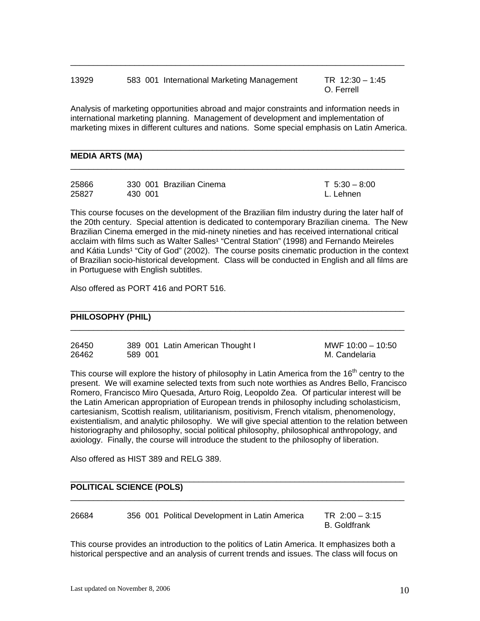## 13929 583 001 International Marketing Management TR 12:30 – 1:45

O. Ferrell

Analysis of marketing opportunities abroad and major constraints and information needs in international marketing planning. Management of development and implementation of marketing mixes in different cultures and nations. Some special emphasis on Latin America.

 $\_$  ,  $\_$  ,  $\_$  ,  $\_$  ,  $\_$  ,  $\_$  ,  $\_$  ,  $\_$  ,  $\_$  ,  $\_$  ,  $\_$  ,  $\_$  ,  $\_$  ,  $\_$  ,  $\_$  ,  $\_$  ,  $\_$  ,  $\_$  ,  $\_$  ,  $\_$  ,  $\_$  ,  $\_$  ,  $\_$  ,  $\_$  ,  $\_$  ,  $\_$  ,  $\_$  ,  $\_$  ,  $\_$  ,  $\_$  ,  $\_$  ,  $\_$  ,  $\_$  ,  $\_$  ,  $\_$  ,  $\_$  ,  $\_$  ,

 $\_$  ,  $\_$  ,  $\_$  ,  $\_$  ,  $\_$  ,  $\_$  ,  $\_$  ,  $\_$  ,  $\_$  ,  $\_$  ,  $\_$  ,  $\_$  ,  $\_$  ,  $\_$  ,  $\_$  ,  $\_$  ,  $\_$  ,  $\_$  ,  $\_$  ,  $\_$  ,  $\_$  ,  $\_$  ,  $\_$  ,  $\_$  ,  $\_$  ,  $\_$  ,  $\_$  ,  $\_$  ,  $\_$  ,  $\_$  ,  $\_$  ,  $\_$  ,  $\_$  ,  $\_$  ,  $\_$  ,  $\_$  ,  $\_$  ,

 $\overline{\phantom{a}}$  ,  $\overline{\phantom{a}}$  ,  $\overline{\phantom{a}}$  ,  $\overline{\phantom{a}}$  ,  $\overline{\phantom{a}}$  ,  $\overline{\phantom{a}}$  ,  $\overline{\phantom{a}}$  ,  $\overline{\phantom{a}}$  ,  $\overline{\phantom{a}}$  ,  $\overline{\phantom{a}}$  ,  $\overline{\phantom{a}}$  ,  $\overline{\phantom{a}}$  ,  $\overline{\phantom{a}}$  ,  $\overline{\phantom{a}}$  ,  $\overline{\phantom{a}}$  ,  $\overline{\phantom{a}}$ 

### **MEDIA ARTS (MA)**

| 25866 | 330 001 Brazilian Cinema | $T \cdot 5:30 - 8:00$ |
|-------|--------------------------|-----------------------|
| 25827 | 430 001                  | L. Lehnen             |

This course focuses on the development of the Brazilian film industry during the later half of the 20th century. Special attention is dedicated to contemporary Brazilian cinema. The New Brazilian Cinema emerged in the mid-ninety nineties and has received international critical acclaim with films such as Walter Salles<sup>1</sup> "Central Station" (1998) and Fernando Meireles and Kátia Lunds<sup>1</sup> "City of God" (2002). The course posits cinematic production in the context of Brazilian socio-historical development. Class will be conducted in English and all films are in Portuguese with English subtitles.

Also offered as PORT 416 and PORT 516.

## **PHILOSOPHY (PHIL)**

| 26450 | 389 001 Latin American Thought I | MWF $10:00 - 10:50$ |
|-------|----------------------------------|---------------------|
| 26462 | 589 001                          | M. Candelaria       |

 $\overline{\phantom{a}}$  ,  $\overline{\phantom{a}}$  ,  $\overline{\phantom{a}}$  ,  $\overline{\phantom{a}}$  ,  $\overline{\phantom{a}}$  ,  $\overline{\phantom{a}}$  ,  $\overline{\phantom{a}}$  ,  $\overline{\phantom{a}}$  ,  $\overline{\phantom{a}}$  ,  $\overline{\phantom{a}}$  ,  $\overline{\phantom{a}}$  ,  $\overline{\phantom{a}}$  ,  $\overline{\phantom{a}}$  ,  $\overline{\phantom{a}}$  ,  $\overline{\phantom{a}}$  ,  $\overline{\phantom{a}}$ 

 $\overline{\phantom{a}}$  ,  $\overline{\phantom{a}}$  ,  $\overline{\phantom{a}}$  ,  $\overline{\phantom{a}}$  ,  $\overline{\phantom{a}}$  ,  $\overline{\phantom{a}}$  ,  $\overline{\phantom{a}}$  ,  $\overline{\phantom{a}}$  ,  $\overline{\phantom{a}}$  ,  $\overline{\phantom{a}}$  ,  $\overline{\phantom{a}}$  ,  $\overline{\phantom{a}}$  ,  $\overline{\phantom{a}}$  ,  $\overline{\phantom{a}}$  ,  $\overline{\phantom{a}}$  ,  $\overline{\phantom{a}}$ 

This course will explore the history of philosophy in Latin America from the 16<sup>th</sup> centry to the present. We will examine selected texts from such note worthies as Andres Bello, Francisco Romero, Francisco Miro Quesada, Arturo Roig, Leopoldo Zea. Of particular interest will be the Latin American appropriation of European trends in philosophy including scholasticism, cartesianism, Scottish realism, utilitarianism, positivism, French vitalism, phenomenology, existentialism, and analytic philosophy. We will give special attention to the relation between historiography and philosophy, social political philosophy, philosophical anthropology, and axiology. Finally, the course will introduce the student to the philosophy of liberation.

 $\overline{\phantom{a}}$  ,  $\overline{\phantom{a}}$  ,  $\overline{\phantom{a}}$  ,  $\overline{\phantom{a}}$  ,  $\overline{\phantom{a}}$  ,  $\overline{\phantom{a}}$  ,  $\overline{\phantom{a}}$  ,  $\overline{\phantom{a}}$  ,  $\overline{\phantom{a}}$  ,  $\overline{\phantom{a}}$  ,  $\overline{\phantom{a}}$  ,  $\overline{\phantom{a}}$  ,  $\overline{\phantom{a}}$  ,  $\overline{\phantom{a}}$  ,  $\overline{\phantom{a}}$  ,  $\overline{\phantom{a}}$ 

 $\overline{\phantom{a}}$  ,  $\overline{\phantom{a}}$  ,  $\overline{\phantom{a}}$  ,  $\overline{\phantom{a}}$  ,  $\overline{\phantom{a}}$  ,  $\overline{\phantom{a}}$  ,  $\overline{\phantom{a}}$  ,  $\overline{\phantom{a}}$  ,  $\overline{\phantom{a}}$  ,  $\overline{\phantom{a}}$  ,  $\overline{\phantom{a}}$  ,  $\overline{\phantom{a}}$  ,  $\overline{\phantom{a}}$  ,  $\overline{\phantom{a}}$  ,  $\overline{\phantom{a}}$  ,  $\overline{\phantom{a}}$ 

Also offered as HIST 389 and RELG 389.

## **POLITICAL SCIENCE (POLS)**

26684 356 001 Political Development in Latin America TR 2:00 – 3:15

B. Goldfrank

This course provides an introduction to the politics of Latin America. It emphasizes both a historical perspective and an analysis of current trends and issues. The class will focus on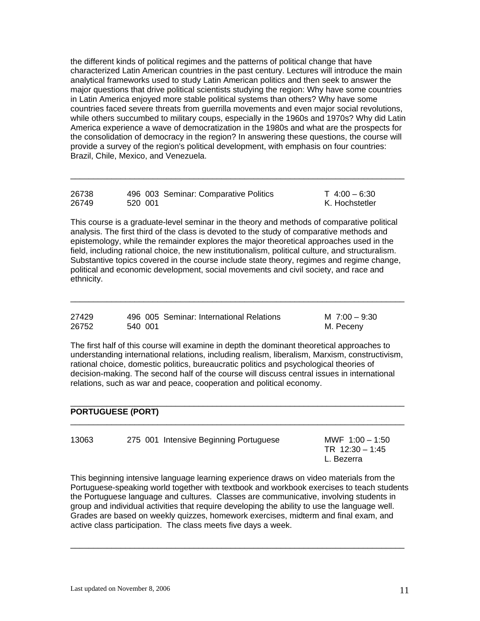the different kinds of political regimes and the patterns of political change that have characterized Latin American countries in the past century. Lectures will introduce the main analytical frameworks used to study Latin American politics and then seek to answer the major questions that drive political scientists studying the region: Why have some countries in Latin America enjoyed more stable political systems than others? Why have some countries faced severe threats from guerrilla movements and even major social revolutions, while others succumbed to military coups, especially in the 1960s and 1970s? Why did Latin America experience a wave of democratization in the 1980s and what are the prospects for the consolidation of democracy in the region? In answering these questions, the course will provide a survey of the region's political development, with emphasis on four countries: Brazil, Chile, Mexico, and Venezuela.

| 26738 | 496 003 Seminar: Comparative Politics | $T$ 4:00 – 6:30 |
|-------|---------------------------------------|-----------------|
| 26749 | 520 001                               | K. Hochstetler  |

\_\_\_\_\_\_\_\_\_\_\_\_\_\_\_\_\_\_\_\_\_\_\_\_\_\_\_\_\_\_\_\_\_\_\_\_\_\_\_\_\_\_\_\_\_\_\_\_\_\_\_\_\_\_\_\_\_\_\_\_\_\_\_\_\_\_\_\_\_\_\_\_\_

This course is a graduate-level seminar in the theory and methods of comparative political analysis. The first third of the class is devoted to the study of comparative methods and epistemology, while the remainder explores the major theoretical approaches used in the field, including rational choice, the new institutionalism, political culture, and structuralism. Substantive topics covered in the course include state theory, regimes and regime change, political and economic development, social movements and civil society, and race and ethnicity.

 $\overline{\phantom{a}}$  ,  $\overline{\phantom{a}}$  ,  $\overline{\phantom{a}}$  ,  $\overline{\phantom{a}}$  ,  $\overline{\phantom{a}}$  ,  $\overline{\phantom{a}}$  ,  $\overline{\phantom{a}}$  ,  $\overline{\phantom{a}}$  ,  $\overline{\phantom{a}}$  ,  $\overline{\phantom{a}}$  ,  $\overline{\phantom{a}}$  ,  $\overline{\phantom{a}}$  ,  $\overline{\phantom{a}}$  ,  $\overline{\phantom{a}}$  ,  $\overline{\phantom{a}}$  ,  $\overline{\phantom{a}}$ 

| 27429 |         | 496 005 Seminar: International Relations | M $7:00 - 9:30$ |
|-------|---------|------------------------------------------|-----------------|
| 26752 | 540 001 |                                          | M. Peceny       |

The first half of this course will examine in depth the dominant theoretical approaches to understanding international relations, including realism, liberalism, Marxism, constructivism, rational choice, domestic politics, bureaucratic politics and psychological theories of decision-making. The second half of the course will discuss central issues in international relations, such as war and peace, cooperation and political economy.

 $\overline{\phantom{a}}$  ,  $\overline{\phantom{a}}$  ,  $\overline{\phantom{a}}$  ,  $\overline{\phantom{a}}$  ,  $\overline{\phantom{a}}$  ,  $\overline{\phantom{a}}$  ,  $\overline{\phantom{a}}$  ,  $\overline{\phantom{a}}$  ,  $\overline{\phantom{a}}$  ,  $\overline{\phantom{a}}$  ,  $\overline{\phantom{a}}$  ,  $\overline{\phantom{a}}$  ,  $\overline{\phantom{a}}$  ,  $\overline{\phantom{a}}$  ,  $\overline{\phantom{a}}$  ,  $\overline{\phantom{a}}$ 

 $\overline{\phantom{a}}$  ,  $\overline{\phantom{a}}$  ,  $\overline{\phantom{a}}$  ,  $\overline{\phantom{a}}$  ,  $\overline{\phantom{a}}$  ,  $\overline{\phantom{a}}$  ,  $\overline{\phantom{a}}$  ,  $\overline{\phantom{a}}$  ,  $\overline{\phantom{a}}$  ,  $\overline{\phantom{a}}$  ,  $\overline{\phantom{a}}$  ,  $\overline{\phantom{a}}$  ,  $\overline{\phantom{a}}$  ,  $\overline{\phantom{a}}$  ,  $\overline{\phantom{a}}$  ,  $\overline{\phantom{a}}$ 

## **PORTUGUESE (PORT)**

| 13063<br>275 001 Intensive Beginning Portuguese | MWF $1:00 - 1:50$<br>TR $12:30 - 1:45$<br>L. Bezerra |
|-------------------------------------------------|------------------------------------------------------|
|-------------------------------------------------|------------------------------------------------------|

This beginning intensive language learning experience draws on video materials from the Portuguese-speaking world together with textbook and workbook exercises to teach students the Portuguese language and cultures. Classes are communicative, involving students in group and individual activities that require developing the ability to use the language well. Grades are based on weekly quizzes, homework exercises, midterm and final exam, and active class participation. The class meets five days a week.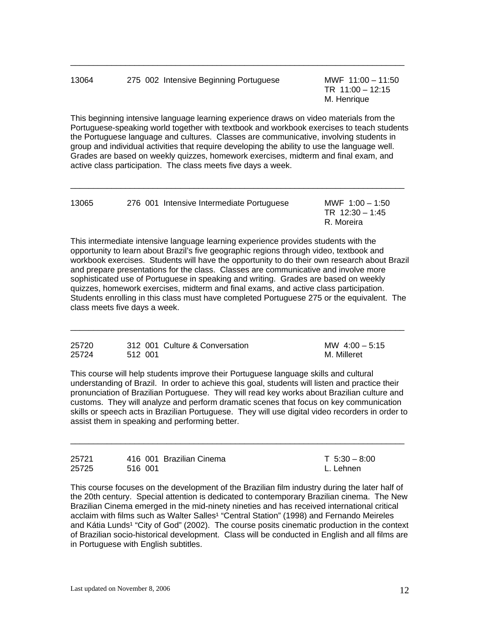| 13064 | 275 002 Intensive Beginning Portuguese | MWF $11:00 - 11:50$<br>TR $11:00 - 12:15$<br>M. Henrique |
|-------|----------------------------------------|----------------------------------------------------------|
|       |                                        |                                                          |

This beginning intensive language learning experience draws on video materials from the Portuguese-speaking world together with textbook and workbook exercises to teach students the Portuguese language and cultures. Classes are communicative, involving students in group and individual activities that require developing the ability to use the language well. Grades are based on weekly quizzes, homework exercises, midterm and final exam, and active class participation. The class meets five days a week.

| 13065 | 276 001 Intensive Intermediate Portuguese | MWF $1:00 - 1:50$<br>TR $12:30 - 1:45$ |
|-------|-------------------------------------------|----------------------------------------|
|       |                                           | R. Moreira                             |

 $\overline{\phantom{a}}$  ,  $\overline{\phantom{a}}$  ,  $\overline{\phantom{a}}$  ,  $\overline{\phantom{a}}$  ,  $\overline{\phantom{a}}$  ,  $\overline{\phantom{a}}$  ,  $\overline{\phantom{a}}$  ,  $\overline{\phantom{a}}$  ,  $\overline{\phantom{a}}$  ,  $\overline{\phantom{a}}$  ,  $\overline{\phantom{a}}$  ,  $\overline{\phantom{a}}$  ,  $\overline{\phantom{a}}$  ,  $\overline{\phantom{a}}$  ,  $\overline{\phantom{a}}$  ,  $\overline{\phantom{a}}$ 

This intermediate intensive language learning experience provides students with the opportunity to learn about Brazil's five geographic regions through video, textbook and workbook exercises. Students will have the opportunity to do their own research about Brazil and prepare presentations for the class. Classes are communicative and involve more sophisticated use of Portuguese in speaking and writing. Grades are based on weekly quizzes, homework exercises, midterm and final exams, and active class participation. Students enrolling in this class must have completed Portuguese 275 or the equivalent. The class meets five days a week.

| 25720 | 312 001 Culture & Conversation | MW $4:00-5:15$ |
|-------|--------------------------------|----------------|
| 25724 | 512 001                        | M. Milleret    |

 $\overline{\phantom{a}}$  ,  $\overline{\phantom{a}}$  ,  $\overline{\phantom{a}}$  ,  $\overline{\phantom{a}}$  ,  $\overline{\phantom{a}}$  ,  $\overline{\phantom{a}}$  ,  $\overline{\phantom{a}}$  ,  $\overline{\phantom{a}}$  ,  $\overline{\phantom{a}}$  ,  $\overline{\phantom{a}}$  ,  $\overline{\phantom{a}}$  ,  $\overline{\phantom{a}}$  ,  $\overline{\phantom{a}}$  ,  $\overline{\phantom{a}}$  ,  $\overline{\phantom{a}}$  ,  $\overline{\phantom{a}}$ 

This course will help students improve their Portuguese language skills and cultural understanding of Brazil. In order to achieve this goal, students will listen and practice their pronunciation of Brazilian Portuguese. They will read key works about Brazilian culture and customs. They will analyze and perform dramatic scenes that focus on key communication skills or speech acts in Brazilian Portuguese. They will use digital video recorders in order to assist them in speaking and performing better.

 $\overline{\phantom{a}}$  ,  $\overline{\phantom{a}}$  ,  $\overline{\phantom{a}}$  ,  $\overline{\phantom{a}}$  ,  $\overline{\phantom{a}}$  ,  $\overline{\phantom{a}}$  ,  $\overline{\phantom{a}}$  ,  $\overline{\phantom{a}}$  ,  $\overline{\phantom{a}}$  ,  $\overline{\phantom{a}}$  ,  $\overline{\phantom{a}}$  ,  $\overline{\phantom{a}}$  ,  $\overline{\phantom{a}}$  ,  $\overline{\phantom{a}}$  ,  $\overline{\phantom{a}}$  ,  $\overline{\phantom{a}}$ 

| 25721 | 416 001 Brazilian Cinema | $T \cdot 5:30 - 8:00$ |
|-------|--------------------------|-----------------------|
| 25725 | 516 001                  | L. Lehnen             |

This course focuses on the development of the Brazilian film industry during the later half of the 20th century. Special attention is dedicated to contemporary Brazilian cinema. The New Brazilian Cinema emerged in the mid-ninety nineties and has received international critical acclaim with films such as Walter Salles<sup>1</sup> "Central Station" (1998) and Fernando Meireles and Kátia Lunds<sup>1</sup> "City of God" (2002). The course posits cinematic production in the context of Brazilian socio-historical development. Class will be conducted in English and all films are in Portuguese with English subtitles.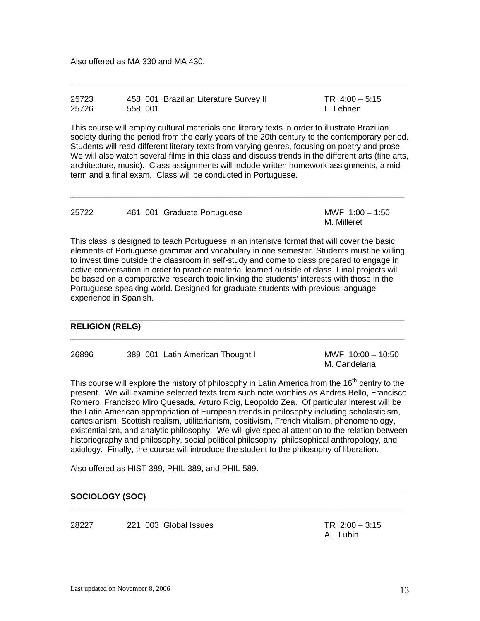Also offered as MA 330 and MA 430.

| 25723 | 458 001 Brazilian Literature Survey II | TR $4:00 - 5:15$ |
|-------|----------------------------------------|------------------|
| 25726 | 558 001                                | L. Lehnen        |

\_\_\_\_\_\_\_\_\_\_\_\_\_\_\_\_\_\_\_\_\_\_\_\_\_\_\_\_\_\_\_\_\_\_\_\_\_\_\_\_\_\_\_\_\_\_\_\_\_\_\_\_\_\_\_\_\_\_\_\_\_\_\_\_\_\_\_\_\_\_\_\_\_

This course will employ cultural materials and literary texts in order to illustrate Brazilian society during the period from the early years of the 20th century to the contemporary period. Students will read different literary texts from varying genres, focusing on poetry and prose. We will also watch several films in this class and discuss trends in the different arts (fine arts, architecture, music). Class assignments will include written homework assignments, a midterm and a final exam. Class will be conducted in Portuguese.

| 25722 |  | 461 001 Graduate Portuguese |             | MWF $1:00 - 1:50$ |
|-------|--|-----------------------------|-------------|-------------------|
|       |  |                             | M. Milleret |                   |

 $\overline{\phantom{a}}$  ,  $\overline{\phantom{a}}$  ,  $\overline{\phantom{a}}$  ,  $\overline{\phantom{a}}$  ,  $\overline{\phantom{a}}$  ,  $\overline{\phantom{a}}$  ,  $\overline{\phantom{a}}$  ,  $\overline{\phantom{a}}$  ,  $\overline{\phantom{a}}$  ,  $\overline{\phantom{a}}$  ,  $\overline{\phantom{a}}$  ,  $\overline{\phantom{a}}$  ,  $\overline{\phantom{a}}$  ,  $\overline{\phantom{a}}$  ,  $\overline{\phantom{a}}$  ,  $\overline{\phantom{a}}$ 

This class is designed to teach Portuguese in an intensive format that will cover the basic elements of Portuguese grammar and vocabulary in one semester. Students must be willing to invest time outside the classroom in self-study and come to class prepared to engage in active conversation in order to practice material learned outside of class. Final projects will be based on a comparative research topic linking the students' interests with those in the Portuguese-speaking world. Designed for graduate students with previous language experience in Spanish.

\_\_\_\_\_\_\_\_\_\_\_\_\_\_\_\_\_\_\_\_\_\_\_\_\_\_\_\_\_\_\_\_\_\_\_\_\_\_\_\_\_\_\_\_\_\_\_\_\_\_\_\_\_\_\_\_\_\_\_\_\_\_\_\_\_\_\_\_\_\_\_\_\_

 $\overline{\phantom{a}}$  ,  $\overline{\phantom{a}}$  ,  $\overline{\phantom{a}}$  ,  $\overline{\phantom{a}}$  ,  $\overline{\phantom{a}}$  ,  $\overline{\phantom{a}}$  ,  $\overline{\phantom{a}}$  ,  $\overline{\phantom{a}}$  ,  $\overline{\phantom{a}}$  ,  $\overline{\phantom{a}}$  ,  $\overline{\phantom{a}}$  ,  $\overline{\phantom{a}}$  ,  $\overline{\phantom{a}}$  ,  $\overline{\phantom{a}}$  ,  $\overline{\phantom{a}}$  ,  $\overline{\phantom{a}}$ 

## **RELIGION (RELG)**

26896 389 001 Latin American Thought I MWF 10:00 – 10:50

M. Candelaria

This course will explore the history of philosophy in Latin America from the  $16<sup>th</sup>$  centry to the present. We will examine selected texts from such note worthies as Andres Bello, Francisco Romero, Francisco Miro Quesada, Arturo Roig, Leopoldo Zea. Of particular interest will be the Latin American appropriation of European trends in philosophy including scholasticism, cartesianism, Scottish realism, utilitarianism, positivism, French vitalism, phenomenology, existentialism, and analytic philosophy. We will give special attention to the relation between historiography and philosophy, social political philosophy, philosophical anthropology, and axiology. Finally, the course will introduce the student to the philosophy of liberation.

 $\overline{\phantom{a}}$  ,  $\overline{\phantom{a}}$  ,  $\overline{\phantom{a}}$  ,  $\overline{\phantom{a}}$  ,  $\overline{\phantom{a}}$  ,  $\overline{\phantom{a}}$  ,  $\overline{\phantom{a}}$  ,  $\overline{\phantom{a}}$  ,  $\overline{\phantom{a}}$  ,  $\overline{\phantom{a}}$  ,  $\overline{\phantom{a}}$  ,  $\overline{\phantom{a}}$  ,  $\overline{\phantom{a}}$  ,  $\overline{\phantom{a}}$  ,  $\overline{\phantom{a}}$  ,  $\overline{\phantom{a}}$ 

\_\_\_\_\_\_\_\_\_\_\_\_\_\_\_\_\_\_\_\_\_\_\_\_\_\_\_\_\_\_\_\_\_\_\_\_\_\_\_\_\_\_\_\_\_\_\_\_\_\_\_\_\_\_\_\_\_\_\_\_\_\_\_\_\_\_\_\_\_\_\_\_\_

Also offered as HIST 389, PHIL 389, and PHIL 589.

## **SOCIOLOGY (SOC)**

28227 221 003 Global Issues TR 2:00 – 3:15

A. Lubin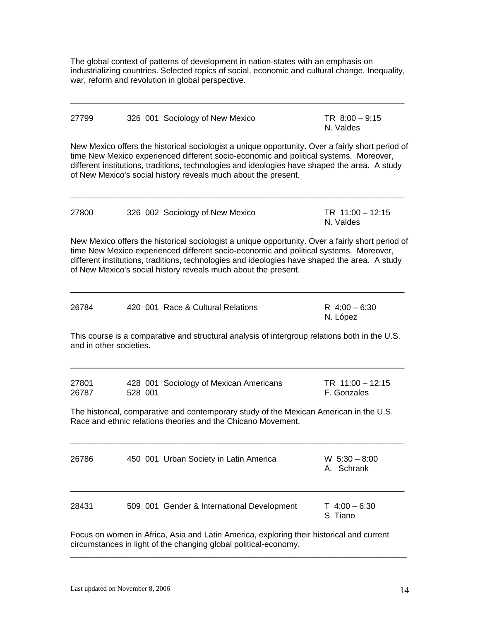The global context of patterns of development in nation-states with an emphasis on industrializing countries. Selected topics of social, economic and cultural change. Inequality, war, reform and revolution in global perspective.

 $\overline{\phantom{a}}$  ,  $\overline{\phantom{a}}$  ,  $\overline{\phantom{a}}$  ,  $\overline{\phantom{a}}$  ,  $\overline{\phantom{a}}$  ,  $\overline{\phantom{a}}$  ,  $\overline{\phantom{a}}$  ,  $\overline{\phantom{a}}$  ,  $\overline{\phantom{a}}$  ,  $\overline{\phantom{a}}$  ,  $\overline{\phantom{a}}$  ,  $\overline{\phantom{a}}$  ,  $\overline{\phantom{a}}$  ,  $\overline{\phantom{a}}$  ,  $\overline{\phantom{a}}$  ,  $\overline{\phantom{a}}$ 

| 27799                   |         | 326 001 Sociology of New Mexico                                                                                                                                                                                                                                                                                                                              | TR $8:00 - 9:15$<br>N. Valdes   |
|-------------------------|---------|--------------------------------------------------------------------------------------------------------------------------------------------------------------------------------------------------------------------------------------------------------------------------------------------------------------------------------------------------------------|---------------------------------|
|                         |         | New Mexico offers the historical sociologist a unique opportunity. Over a fairly short period of<br>time New Mexico experienced different socio-economic and political systems. Moreover,<br>different institutions, traditions, technologies and ideologies have shaped the area. A study<br>of New Mexico's social history reveals much about the present. |                                 |
| 27800                   |         | 326 002 Sociology of New Mexico                                                                                                                                                                                                                                                                                                                              | TR $11:00 - 12:15$<br>N. Valdes |
|                         |         | New Mexico offers the historical sociologist a unique opportunity. Over a fairly short period of<br>time New Mexico experienced different socio-economic and political systems. Moreover,<br>different institutions, traditions, technologies and ideologies have shaped the area. A study<br>of New Mexico's social history reveals much about the present. |                                 |
| 26784                   |         | 420 001 Race & Cultural Relations                                                                                                                                                                                                                                                                                                                            | R $4:00 - 6:30$<br>N. López     |
| and in other societies. |         | This course is a comparative and structural analysis of intergroup relations both in the U.S.                                                                                                                                                                                                                                                                |                                 |
| 27801<br>26787          | 528 001 | 428 001 Sociology of Mexican Americans                                                                                                                                                                                                                                                                                                                       | TR 11:00 - 12:15<br>F. Gonzales |
|                         |         | The historical, comparative and contemporary study of the Mexican American in the U.S.<br>Race and ethnic relations theories and the Chicano Movement.                                                                                                                                                                                                       |                                 |
| 26786                   |         | 450 001 Urban Society in Latin America                                                                                                                                                                                                                                                                                                                       | $W$ 5:30 - 8:00<br>A. Schrank   |
| 28431                   |         | 509 001 Gender & International Development                                                                                                                                                                                                                                                                                                                   | $T$ 4:00 - 6:30<br>S. Tiano     |

Focus on women in Africa, Asia and Latin America, exploring their historical and current circumstances in light of the changing global political-economy.

\_\_\_\_\_\_\_\_\_\_\_\_\_\_\_\_\_\_\_\_\_\_\_\_\_\_\_\_\_\_\_\_\_\_\_\_\_\_\_\_\_\_\_\_\_\_\_\_\_\_\_\_\_\_\_\_\_\_\_\_\_\_\_\_\_\_\_\_\_\_\_\_\_\_\_\_\_\_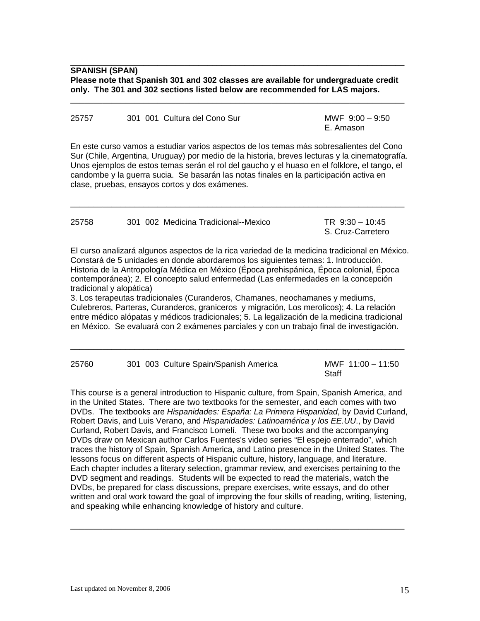**SPANISH (SPAN) Please note that Spanish 301 and 302 classes are available for undergraduate credit only. The 301 and 302 sections listed below are recommended for LAS majors.** 

 $\overline{\phantom{a}}$  ,  $\overline{\phantom{a}}$  ,  $\overline{\phantom{a}}$  ,  $\overline{\phantom{a}}$  ,  $\overline{\phantom{a}}$  ,  $\overline{\phantom{a}}$  ,  $\overline{\phantom{a}}$  ,  $\overline{\phantom{a}}$  ,  $\overline{\phantom{a}}$  ,  $\overline{\phantom{a}}$  ,  $\overline{\phantom{a}}$  ,  $\overline{\phantom{a}}$  ,  $\overline{\phantom{a}}$  ,  $\overline{\phantom{a}}$  ,  $\overline{\phantom{a}}$  ,  $\overline{\phantom{a}}$ 

 $\overline{\phantom{a}}$  ,  $\overline{\phantom{a}}$  ,  $\overline{\phantom{a}}$  ,  $\overline{\phantom{a}}$  ,  $\overline{\phantom{a}}$  ,  $\overline{\phantom{a}}$  ,  $\overline{\phantom{a}}$  ,  $\overline{\phantom{a}}$  ,  $\overline{\phantom{a}}$  ,  $\overline{\phantom{a}}$  ,  $\overline{\phantom{a}}$  ,  $\overline{\phantom{a}}$  ,  $\overline{\phantom{a}}$  ,  $\overline{\phantom{a}}$  ,  $\overline{\phantom{a}}$  ,  $\overline{\phantom{a}}$ 

| 25757 |  | 301 001 Cultura del Cono Sur |           | MWF $9:00 - 9:50$ |  |
|-------|--|------------------------------|-----------|-------------------|--|
|       |  |                              | E. Amason |                   |  |

En este curso vamos a estudiar varios aspectos de los temas más sobresalientes del Cono Sur (Chile, Argentina, Uruguay) por medio de la historia, breves lecturas y la cinematografía. Unos ejemplos de estos temas serán el rol del gaucho y el huaso en el folklore, el tango, el candombe y la guerra sucia. Se basarán las notas finales en la participación activa en clase, pruebas, ensayos cortos y dos exámenes.

| 25758 | 301 002 Medicina Tradicional--Mexico | TR $9:30 - 10:45$ |
|-------|--------------------------------------|-------------------|
|       |                                      | S. Cruz-Carretero |

 $\overline{\phantom{a}}$  ,  $\overline{\phantom{a}}$  ,  $\overline{\phantom{a}}$  ,  $\overline{\phantom{a}}$  ,  $\overline{\phantom{a}}$  ,  $\overline{\phantom{a}}$  ,  $\overline{\phantom{a}}$  ,  $\overline{\phantom{a}}$  ,  $\overline{\phantom{a}}$  ,  $\overline{\phantom{a}}$  ,  $\overline{\phantom{a}}$  ,  $\overline{\phantom{a}}$  ,  $\overline{\phantom{a}}$  ,  $\overline{\phantom{a}}$  ,  $\overline{\phantom{a}}$  ,  $\overline{\phantom{a}}$ 

El curso analizará algunos aspectos de la rica variedad de la medicina tradicional en México. Constará de 5 unidades en donde abordaremos los siguientes temas: 1. Introducción. Historia de la Antropología Médica en México (Época prehispánica, Época colonial, Época contemporánea); 2. El concepto salud enfermedad (Las enfermedades en la concepción tradicional y alopática)

3. Los terapeutas tradicionales (Curanderos, Chamanes, neochamanes y mediums, Culebreros, Parteras, Curanderos, graniceros y migración, Los merolicos); 4. La relación entre médico alópatas y médicos tradicionales; 5. La legalización de la medicina tradicional en México. Se evaluará con 2 exámenes parciales y con un trabajo final de investigación.

| 25760 |  | 301 003 Culture Spain/Spanish America |       | MWF $11:00 - 11:50$ |
|-------|--|---------------------------------------|-------|---------------------|
|       |  |                                       | Staff |                     |

 $\overline{\phantom{a}}$  ,  $\overline{\phantom{a}}$  ,  $\overline{\phantom{a}}$  ,  $\overline{\phantom{a}}$  ,  $\overline{\phantom{a}}$  ,  $\overline{\phantom{a}}$  ,  $\overline{\phantom{a}}$  ,  $\overline{\phantom{a}}$  ,  $\overline{\phantom{a}}$  ,  $\overline{\phantom{a}}$  ,  $\overline{\phantom{a}}$  ,  $\overline{\phantom{a}}$  ,  $\overline{\phantom{a}}$  ,  $\overline{\phantom{a}}$  ,  $\overline{\phantom{a}}$  ,  $\overline{\phantom{a}}$ 

This course is a general introduction to Hispanic culture, from Spain, Spanish America, and in the United States. There are two textbooks for the semester, and each comes with two DVDs. The textbooks are *Hispanidades: España: La Primera Hispanidad*, by David Curland, Robert Davis, and Luis Verano, and *Hispanidades: Latinoamérica y los EE.UU*., by David Curland, Robert Davis, and Francisco Lomelí. These two books and the accompanying DVDs draw on Mexican author Carlos Fuentes's video series "El espejo enterrado", which traces the history of Spain, Spanish America, and Latino presence in the United States. The lessons focus on different aspects of Hispanic culture, history, language, and literature. Each chapter includes a literary selection, grammar review, and exercises pertaining to the DVD segment and readings. Students will be expected to read the materials, watch the DVDs, be prepared for class discussions, prepare exercises, write essays, and do other written and oral work toward the goal of improving the four skills of reading, writing, listening, and speaking while enhancing knowledge of history and culture.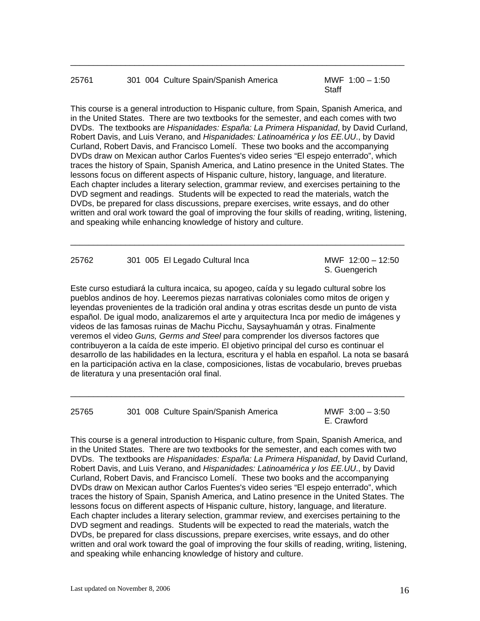## 25761 301 004 Culture Spain/Spanish America MWF 1:00 – 1:50

**Staff** Staff Staff Staff Staff Staff Staff Staff Staff Staff Staff Staff Staff Staff Staff Staff Staff Staff Staff Staff Staff Staff Staff Staff Staff Staff Staff Staff Staff Staff Staff Staff Staff Staff Staff Staff Staf

This course is a general introduction to Hispanic culture, from Spain, Spanish America, and in the United States. There are two textbooks for the semester, and each comes with two DVDs. The textbooks are *Hispanidades: España: La Primera Hispanidad*, by David Curland, Robert Davis, and Luis Verano, and *Hispanidades: Latinoamérica y los EE.UU*., by David Curland, Robert Davis, and Francisco Lomelí. These two books and the accompanying DVDs draw on Mexican author Carlos Fuentes's video series "El espejo enterrado", which traces the history of Spain, Spanish America, and Latino presence in the United States. The lessons focus on different aspects of Hispanic culture, history, language, and literature. Each chapter includes a literary selection, grammar review, and exercises pertaining to the DVD segment and readings. Students will be expected to read the materials, watch the DVDs, be prepared for class discussions, prepare exercises, write essays, and do other written and oral work toward the goal of improving the four skills of reading, writing, listening, and speaking while enhancing knowledge of history and culture.

 $\overline{\phantom{a}}$  ,  $\overline{\phantom{a}}$  ,  $\overline{\phantom{a}}$  ,  $\overline{\phantom{a}}$  ,  $\overline{\phantom{a}}$  ,  $\overline{\phantom{a}}$  ,  $\overline{\phantom{a}}$  ,  $\overline{\phantom{a}}$  ,  $\overline{\phantom{a}}$  ,  $\overline{\phantom{a}}$  ,  $\overline{\phantom{a}}$  ,  $\overline{\phantom{a}}$  ,  $\overline{\phantom{a}}$  ,  $\overline{\phantom{a}}$  ,  $\overline{\phantom{a}}$  ,  $\overline{\phantom{a}}$ 

| 25762 | 301 005 El Legado Cultural Inca | MWF 12:00 - 12:50 |
|-------|---------------------------------|-------------------|
|       |                                 | S. Guengerich     |

 $\_$  ,  $\_$  ,  $\_$  ,  $\_$  ,  $\_$  ,  $\_$  ,  $\_$  ,  $\_$  ,  $\_$  ,  $\_$  ,  $\_$  ,  $\_$  ,  $\_$  ,  $\_$  ,  $\_$  ,  $\_$  ,  $\_$  ,  $\_$  ,  $\_$  ,  $\_$  ,  $\_$  ,  $\_$  ,  $\_$  ,  $\_$  ,  $\_$  ,  $\_$  ,  $\_$  ,  $\_$  ,  $\_$  ,  $\_$  ,  $\_$  ,  $\_$  ,  $\_$  ,  $\_$  ,  $\_$  ,  $\_$  ,  $\_$  ,

Este curso estudiará la cultura incaica, su apogeo, caída y su legado cultural sobre los pueblos andinos de hoy. Leeremos piezas narrativas coloniales como mitos de origen y leyendas provenientes de la tradición oral andina y otras escritas desde un punto de vista español. De igual modo, analizaremos el arte y arquitectura Inca por medio de imágenes y videos de las famosas ruinas de Machu Picchu, Saysayhuamán y otras. Finalmente veremos el video *Guns, Germs and Steel* para comprender los diversos factores que contribuyeron a la caída de este imperio. El objetivo principal del curso es continuar el desarrollo de las habilidades en la lectura, escritura y el habla en español. La nota se basará en la participación activa en la clase, composiciones, listas de vocabulario, breves pruebas de literatura y una presentación oral final.

 $\_$  ,  $\_$  ,  $\_$  ,  $\_$  ,  $\_$  ,  $\_$  ,  $\_$  ,  $\_$  ,  $\_$  ,  $\_$  ,  $\_$  ,  $\_$  ,  $\_$  ,  $\_$  ,  $\_$  ,  $\_$  ,  $\_$  ,  $\_$  ,  $\_$  ,  $\_$  ,  $\_$  ,  $\_$  ,  $\_$  ,  $\_$  ,  $\_$  ,  $\_$  ,  $\_$  ,  $\_$  ,  $\_$  ,  $\_$  ,  $\_$  ,  $\_$  ,  $\_$  ,  $\_$  ,  $\_$  ,  $\_$  ,  $\_$  ,

25765 301 008 Culture Spain/Spanish America MWF 3:00 – 3:50

E. Crawford

This course is a general introduction to Hispanic culture, from Spain, Spanish America, and in the United States. There are two textbooks for the semester, and each comes with two DVDs. The textbooks are *Hispanidades: España: La Primera Hispanidad*, by David Curland, Robert Davis, and Luis Verano, and *Hispanidades: Latinoamérica y los EE.UU*., by David Curland, Robert Davis, and Francisco Lomelí. These two books and the accompanying DVDs draw on Mexican author Carlos Fuentes's video series "El espejo enterrado", which traces the history of Spain, Spanish America, and Latino presence in the United States. The lessons focus on different aspects of Hispanic culture, history, language, and literature. Each chapter includes a literary selection, grammar review, and exercises pertaining to the DVD segment and readings. Students will be expected to read the materials, watch the DVDs, be prepared for class discussions, prepare exercises, write essays, and do other written and oral work toward the goal of improving the four skills of reading, writing, listening, and speaking while enhancing knowledge of history and culture.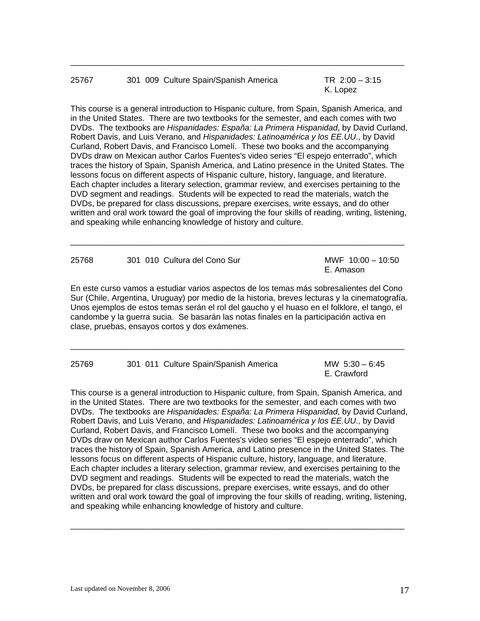| 25767 |  | 301 009 Culture Spain/Spanish America | TR $2:00 - 3:15$ |  |
|-------|--|---------------------------------------|------------------|--|
|       |  |                                       | K. Lopez         |  |

This course is a general introduction to Hispanic culture, from Spain, Spanish America, and in the United States. There are two textbooks for the semester, and each comes with two DVDs. The textbooks are *Hispanidades: España: La Primera Hispanidad*, by David Curland, Robert Davis, and Luis Verano, and *Hispanidades: Latinoamérica y los EE.UU*., by David Curland, Robert Davis, and Francisco Lomelí. These two books and the accompanying DVDs draw on Mexican author Carlos Fuentes's video series "El espejo enterrado", which traces the history of Spain, Spanish America, and Latino presence in the United States. The lessons focus on different aspects of Hispanic culture, history, language, and literature. Each chapter includes a literary selection, grammar review, and exercises pertaining to the DVD segment and readings. Students will be expected to read the materials, watch the DVDs, be prepared for class discussions, prepare exercises, write essays, and do other written and oral work toward the goal of improving the four skills of reading, writing, listening, and speaking while enhancing knowledge of history and culture.

| 25768 | 301 010 Cultura del Cono Sur | MWF $10:00 - 10:50$ |
|-------|------------------------------|---------------------|
|       |                              | E. Amason           |

 $\_$  ,  $\_$  ,  $\_$  ,  $\_$  ,  $\_$  ,  $\_$  ,  $\_$  ,  $\_$  ,  $\_$  ,  $\_$  ,  $\_$  ,  $\_$  ,  $\_$  ,  $\_$  ,  $\_$  ,  $\_$  ,  $\_$  ,  $\_$  ,  $\_$  ,  $\_$  ,  $\_$  ,  $\_$  ,  $\_$  ,  $\_$  ,  $\_$  ,  $\_$  ,  $\_$  ,  $\_$  ,  $\_$  ,  $\_$  ,  $\_$  ,  $\_$  ,  $\_$  ,  $\_$  ,  $\_$  ,  $\_$  ,  $\_$  ,

En este curso vamos a estudiar varios aspectos de los temas más sobresalientes del Cono Sur (Chile, Argentina, Uruguay) por medio de la historia, breves lecturas y la cinematografía. Unos ejemplos de estos temas serán el rol del gaucho y el huaso en el folklore, el tango, el candombe y la guerra sucia. Se basarán las notas finales en la participación activa en clase, pruebas, ensayos cortos y dos exámenes.

 $\_$  ,  $\_$  ,  $\_$  ,  $\_$  ,  $\_$  ,  $\_$  ,  $\_$  ,  $\_$  ,  $\_$  ,  $\_$  ,  $\_$  ,  $\_$  ,  $\_$  ,  $\_$  ,  $\_$  ,  $\_$  ,  $\_$  ,  $\_$  ,  $\_$  ,  $\_$  ,  $\_$  ,  $\_$  ,  $\_$  ,  $\_$  ,  $\_$  ,  $\_$  ,  $\_$  ,  $\_$  ,  $\_$  ,  $\_$  ,  $\_$  ,  $\_$  ,  $\_$  ,  $\_$  ,  $\_$  ,  $\_$  ,  $\_$  ,

| 25769 |  | 301 011 Culture Spain/Spanish America | MW $5:30 - 6:45$ |
|-------|--|---------------------------------------|------------------|
|       |  |                                       | E. Crawford      |

This course is a general introduction to Hispanic culture, from Spain, Spanish America, and in the United States. There are two textbooks for the semester, and each comes with two DVDs. The textbooks are *Hispanidades: España: La Primera Hispanidad*, by David Curland, Robert Davis, and Luis Verano, and *Hispanidades: Latinoamérica y los EE.UU*., by David Curland, Robert Davis, and Francisco Lomelí. These two books and the accompanying DVDs draw on Mexican author Carlos Fuentes's video series "El espejo enterrado", which traces the history of Spain, Spanish America, and Latino presence in the United States. The lessons focus on different aspects of Hispanic culture, history, language, and literature. Each chapter includes a literary selection, grammar review, and exercises pertaining to the DVD segment and readings. Students will be expected to read the materials, watch the DVDs, be prepared for class discussions, prepare exercises, write essays, and do other written and oral work toward the goal of improving the four skills of reading, writing, listening, and speaking while enhancing knowledge of history and culture.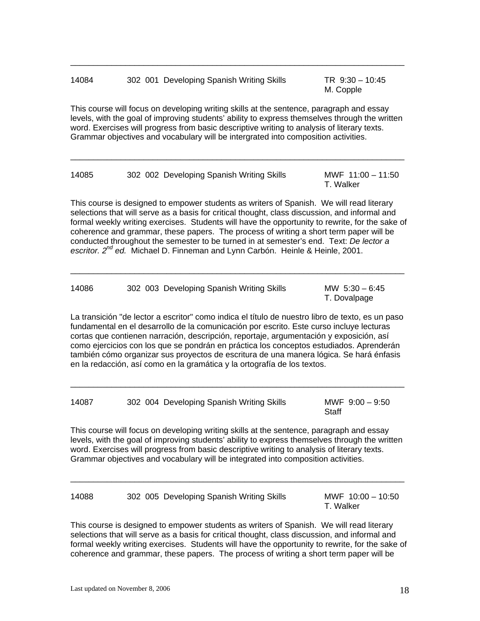| 302 001 Developing Spanish Writing Skills<br>14084 |  |
|----------------------------------------------------|--|
|----------------------------------------------------|--|

 $TR \, 9:30 - 10:45$ M. Copple

This course will focus on developing writing skills at the sentence, paragraph and essay levels, with the goal of improving students' ability to express themselves through the written word. Exercises will progress from basic descriptive writing to analysis of literary texts. Grammar objectives and vocabulary will be intergrated into composition activities.

 $\overline{\phantom{a}}$  ,  $\overline{\phantom{a}}$  ,  $\overline{\phantom{a}}$  ,  $\overline{\phantom{a}}$  ,  $\overline{\phantom{a}}$  ,  $\overline{\phantom{a}}$  ,  $\overline{\phantom{a}}$  ,  $\overline{\phantom{a}}$  ,  $\overline{\phantom{a}}$  ,  $\overline{\phantom{a}}$  ,  $\overline{\phantom{a}}$  ,  $\overline{\phantom{a}}$  ,  $\overline{\phantom{a}}$  ,  $\overline{\phantom{a}}$  ,  $\overline{\phantom{a}}$  ,  $\overline{\phantom{a}}$ 

 $\overline{\phantom{a}}$  ,  $\overline{\phantom{a}}$  ,  $\overline{\phantom{a}}$  ,  $\overline{\phantom{a}}$  ,  $\overline{\phantom{a}}$  ,  $\overline{\phantom{a}}$  ,  $\overline{\phantom{a}}$  ,  $\overline{\phantom{a}}$  ,  $\overline{\phantom{a}}$  ,  $\overline{\phantom{a}}$  ,  $\overline{\phantom{a}}$  ,  $\overline{\phantom{a}}$  ,  $\overline{\phantom{a}}$  ,  $\overline{\phantom{a}}$  ,  $\overline{\phantom{a}}$  ,  $\overline{\phantom{a}}$ 

| 14085 | 302 002 Developing Spanish Writing Skills | MWF 11:00 - 11:50<br>T. Walker |
|-------|-------------------------------------------|--------------------------------|
|       |                                           |                                |

This course is designed to empower students as writers of Spanish. We will read literary selections that will serve as a basis for critical thought, class discussion, and informal and formal weekly writing exercises. Students will have the opportunity to rewrite, for the sake of coherence and grammar, these papers. The process of writing a short term paper will be conducted throughout the semester to be turned in at semester's end. Text: *De lector a*  escritor. 2<sup>nd</sup> ed. Michael D. Finneman and Lynn Carbón. Heinle & Heinle, 2001.

\_\_\_\_\_\_\_\_\_\_\_\_\_\_\_\_\_\_\_\_\_\_\_\_\_\_\_\_\_\_\_\_\_\_\_\_\_\_\_\_\_\_\_\_\_\_\_\_\_\_\_\_\_\_\_\_\_\_\_\_\_\_\_\_\_\_\_\_\_\_\_\_\_

| 14086 | 302 003 Developing Spanish Writing Skills | MW $5:30 - 6:45$ |
|-------|-------------------------------------------|------------------|
|       |                                           | T. Dovalpage     |

La transición "de lector a escritor" como indica el título de nuestro libro de texto, es un paso fundamental en el desarrollo de la comunicación por escrito. Este curso incluye lecturas cortas que contienen narración, descripción, reportaje, argumentación y exposición, así como ejercicios con los que se pondrán en práctica los conceptos estudiados. Aprenderán también cómo organizar sus proyectos de escritura de una manera lógica. Se hará énfasis en la redacción, así como en la gramática y la ortografía de los textos.

| 14087 | 302 004 Developing Spanish Writing Skills | MWF $9:00 - 9:50$ |
|-------|-------------------------------------------|-------------------|
|       |                                           | Staff             |

 $\overline{\phantom{a}}$  ,  $\overline{\phantom{a}}$  ,  $\overline{\phantom{a}}$  ,  $\overline{\phantom{a}}$  ,  $\overline{\phantom{a}}$  ,  $\overline{\phantom{a}}$  ,  $\overline{\phantom{a}}$  ,  $\overline{\phantom{a}}$  ,  $\overline{\phantom{a}}$  ,  $\overline{\phantom{a}}$  ,  $\overline{\phantom{a}}$  ,  $\overline{\phantom{a}}$  ,  $\overline{\phantom{a}}$  ,  $\overline{\phantom{a}}$  ,  $\overline{\phantom{a}}$  ,  $\overline{\phantom{a}}$ 

This course will focus on developing writing skills at the sentence, paragraph and essay levels, with the goal of improving students' ability to express themselves through the written word. Exercises will progress from basic descriptive writing to analysis of literary texts. Grammar objectives and vocabulary will be integrated into composition activities.

| 14088 | 302 005 Developing Spanish Writing Skills | MWF 10:00 - 10:50 |
|-------|-------------------------------------------|-------------------|
|       |                                           | T. Walker         |

 $\overline{\phantom{a}}$  ,  $\overline{\phantom{a}}$  ,  $\overline{\phantom{a}}$  ,  $\overline{\phantom{a}}$  ,  $\overline{\phantom{a}}$  ,  $\overline{\phantom{a}}$  ,  $\overline{\phantom{a}}$  ,  $\overline{\phantom{a}}$  ,  $\overline{\phantom{a}}$  ,  $\overline{\phantom{a}}$  ,  $\overline{\phantom{a}}$  ,  $\overline{\phantom{a}}$  ,  $\overline{\phantom{a}}$  ,  $\overline{\phantom{a}}$  ,  $\overline{\phantom{a}}$  ,  $\overline{\phantom{a}}$ 

This course is designed to empower students as writers of Spanish. We will read literary selections that will serve as a basis for critical thought, class discussion, and informal and formal weekly writing exercises. Students will have the opportunity to rewrite, for the sake of coherence and grammar, these papers. The process of writing a short term paper will be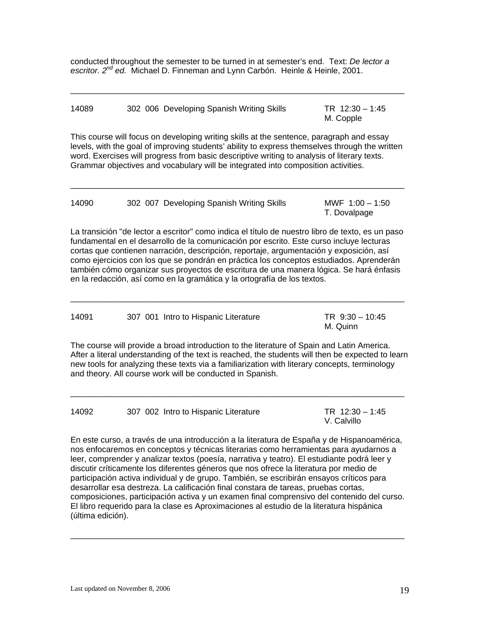conducted throughout the semester to be turned in at semester's end. Text: *De lector a escritor. 2nd ed.* Michael D. Finneman and Lynn Carbón. Heinle & Heinle, 2001.

| 14089 | 302 006 Developing Spanish Writing Skills | TR 12:30 - 1:45 |
|-------|-------------------------------------------|-----------------|
|       |                                           | M. Copple       |

 $\overline{\phantom{a}}$  ,  $\overline{\phantom{a}}$  ,  $\overline{\phantom{a}}$  ,  $\overline{\phantom{a}}$  ,  $\overline{\phantom{a}}$  ,  $\overline{\phantom{a}}$  ,  $\overline{\phantom{a}}$  ,  $\overline{\phantom{a}}$  ,  $\overline{\phantom{a}}$  ,  $\overline{\phantom{a}}$  ,  $\overline{\phantom{a}}$  ,  $\overline{\phantom{a}}$  ,  $\overline{\phantom{a}}$  ,  $\overline{\phantom{a}}$  ,  $\overline{\phantom{a}}$  ,  $\overline{\phantom{a}}$ 

This course will focus on developing writing skills at the sentence, paragraph and essay levels, with the goal of improving students' ability to express themselves through the written word. Exercises will progress from basic descriptive writing to analysis of literary texts. Grammar objectives and vocabulary will be integrated into composition activities.

 $\overline{\phantom{a}}$  ,  $\overline{\phantom{a}}$  ,  $\overline{\phantom{a}}$  ,  $\overline{\phantom{a}}$  ,  $\overline{\phantom{a}}$  ,  $\overline{\phantom{a}}$  ,  $\overline{\phantom{a}}$  ,  $\overline{\phantom{a}}$  ,  $\overline{\phantom{a}}$  ,  $\overline{\phantom{a}}$  ,  $\overline{\phantom{a}}$  ,  $\overline{\phantom{a}}$  ,  $\overline{\phantom{a}}$  ,  $\overline{\phantom{a}}$  ,  $\overline{\phantom{a}}$  ,  $\overline{\phantom{a}}$ 

| 14090 |  | 302 007 Developing Spanish Writing Skills | MWF $1:00 - 1:50$ |
|-------|--|-------------------------------------------|-------------------|
|       |  |                                           | T. Dovalpage      |

La transición "de lector a escritor" como indica el título de nuestro libro de texto, es un paso fundamental en el desarrollo de la comunicación por escrito. Este curso incluye lecturas cortas que contienen narración, descripción, reportaje, argumentación y exposición, así como ejercicios con los que se pondrán en práctica los conceptos estudiados. Aprenderán también cómo organizar sus proyectos de escritura de una manera lógica. Se hará énfasis en la redacción, así como en la gramática y la ortografía de los textos.

14091 307 001 Intro to Hispanic Literature TR 9:30 – 10:45 M. Quinn

 $\overline{\phantom{a}}$  ,  $\overline{\phantom{a}}$  ,  $\overline{\phantom{a}}$  ,  $\overline{\phantom{a}}$  ,  $\overline{\phantom{a}}$  ,  $\overline{\phantom{a}}$  ,  $\overline{\phantom{a}}$  ,  $\overline{\phantom{a}}$  ,  $\overline{\phantom{a}}$  ,  $\overline{\phantom{a}}$  ,  $\overline{\phantom{a}}$  ,  $\overline{\phantom{a}}$  ,  $\overline{\phantom{a}}$  ,  $\overline{\phantom{a}}$  ,  $\overline{\phantom{a}}$  ,  $\overline{\phantom{a}}$ 

The course will provide a broad introduction to the literature of Spain and Latin America. After a literal understanding of the text is reached, the students will then be expected to learn new tools for analyzing these texts via a familiarization with literary concepts, terminology and theory. All course work will be conducted in Spanish.

 $\overline{\phantom{a}}$  ,  $\overline{\phantom{a}}$  ,  $\overline{\phantom{a}}$  ,  $\overline{\phantom{a}}$  ,  $\overline{\phantom{a}}$  ,  $\overline{\phantom{a}}$  ,  $\overline{\phantom{a}}$  ,  $\overline{\phantom{a}}$  ,  $\overline{\phantom{a}}$  ,  $\overline{\phantom{a}}$  ,  $\overline{\phantom{a}}$  ,  $\overline{\phantom{a}}$  ,  $\overline{\phantom{a}}$  ,  $\overline{\phantom{a}}$  ,  $\overline{\phantom{a}}$  ,  $\overline{\phantom{a}}$ 

14092 307 002 Intro to Hispanic Literature TR 12:30 – 1:45

V. Calvillo

En este curso, a través de una introducción a la literatura de España y de Hispanoamérica, nos enfocaremos en conceptos y técnicas literarias como herramientas para ayudarnos a leer, comprender y analizar textos (poesía, narrativa y teatro). El estudiante podrá leer y discutir críticamente los diferentes géneros que nos ofrece la literatura por medio de participación activa individual y de grupo. También, se escribirán ensayos críticos para desarrollar esa destreza. La calificación final constara de tareas, pruebas cortas, composiciones, participación activa y un examen final comprensivo del contenido del curso. El libro requerido para la clase es Aproximaciones al estudio de la literatura hispánica (última edición).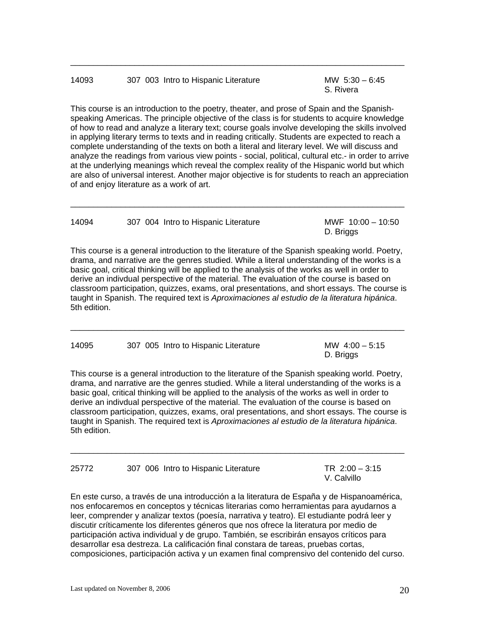## 14093 307 003 Intro to Hispanic Literature MW 5:30 – 6:45

S. Rivera

This course is an introduction to the poetry, theater, and prose of Spain and the Spanishspeaking Americas. The principle objective of the class is for students to acquire knowledge of how to read and analyze a literary text; course goals involve developing the skills involved in applying literary terms to texts and in reading critically. Students are expected to reach a complete understanding of the texts on both a literal and literary level. We will discuss and analyze the readings from various view points - social, political, cultural etc.- in order to arrive at the underlying meanings which reveal the complex reality of the Hispanic world but which are also of universal interest. Another major objective is for students to reach an appreciation of and enjoy literature as a work of art.

 $\overline{\phantom{a}}$  ,  $\overline{\phantom{a}}$  ,  $\overline{\phantom{a}}$  ,  $\overline{\phantom{a}}$  ,  $\overline{\phantom{a}}$  ,  $\overline{\phantom{a}}$  ,  $\overline{\phantom{a}}$  ,  $\overline{\phantom{a}}$  ,  $\overline{\phantom{a}}$  ,  $\overline{\phantom{a}}$  ,  $\overline{\phantom{a}}$  ,  $\overline{\phantom{a}}$  ,  $\overline{\phantom{a}}$  ,  $\overline{\phantom{a}}$  ,  $\overline{\phantom{a}}$  ,  $\overline{\phantom{a}}$ 

| 14094 | 307 004 Intro to Hispanic Literature | MWF 10:00 - 10:50 |
|-------|--------------------------------------|-------------------|
|       |                                      | D. Briggs         |

 $\overline{\phantom{a}}$  ,  $\overline{\phantom{a}}$  ,  $\overline{\phantom{a}}$  ,  $\overline{\phantom{a}}$  ,  $\overline{\phantom{a}}$  ,  $\overline{\phantom{a}}$  ,  $\overline{\phantom{a}}$  ,  $\overline{\phantom{a}}$  ,  $\overline{\phantom{a}}$  ,  $\overline{\phantom{a}}$  ,  $\overline{\phantom{a}}$  ,  $\overline{\phantom{a}}$  ,  $\overline{\phantom{a}}$  ,  $\overline{\phantom{a}}$  ,  $\overline{\phantom{a}}$  ,  $\overline{\phantom{a}}$ 

This course is a general introduction to the literature of the Spanish speaking world. Poetry, drama, and narrative are the genres studied. While a literal understanding of the works is a basic goal, critical thinking will be applied to the analysis of the works as well in order to derive an indivdual perspective of the material. The evaluation of the course is based on classroom participation, quizzes, exams, oral presentations, and short essays. The course is taught in Spanish. The required text is *Aproximaciones al estudio de la literatura hipánica*. 5th edition.

 $\_$  ,  $\_$  ,  $\_$  ,  $\_$  ,  $\_$  ,  $\_$  ,  $\_$  ,  $\_$  ,  $\_$  ,  $\_$  ,  $\_$  ,  $\_$  ,  $\_$  ,  $\_$  ,  $\_$  ,  $\_$  ,  $\_$  ,  $\_$  ,  $\_$  ,  $\_$  ,  $\_$  ,  $\_$  ,  $\_$  ,  $\_$  ,  $\_$  ,  $\_$  ,  $\_$  ,  $\_$  ,  $\_$  ,  $\_$  ,  $\_$  ,  $\_$  ,  $\_$  ,  $\_$  ,  $\_$  ,  $\_$  ,  $\_$  ,

14095 307 005 Intro to Hispanic Literature MW 4:00 – 5:15 D. Briggs

This course is a general introduction to the literature of the Spanish speaking world. Poetry, drama, and narrative are the genres studied. While a literal understanding of the works is a basic goal, critical thinking will be applied to the analysis of the works as well in order to derive an indivdual perspective of the material. The evaluation of the course is based on classroom participation, quizzes, exams, oral presentations, and short essays. The course is taught in Spanish. The required text is *Aproximaciones al estudio de la literatura hipánica*. 5th edition.

 $\_$  ,  $\_$  ,  $\_$  ,  $\_$  ,  $\_$  ,  $\_$  ,  $\_$  ,  $\_$  ,  $\_$  ,  $\_$  ,  $\_$  ,  $\_$  ,  $\_$  ,  $\_$  ,  $\_$  ,  $\_$  ,  $\_$  ,  $\_$  ,  $\_$  ,  $\_$  ,  $\_$  ,  $\_$  ,  $\_$  ,  $\_$  ,  $\_$  ,  $\_$  ,  $\_$  ,  $\_$  ,  $\_$  ,  $\_$  ,  $\_$  ,  $\_$  ,  $\_$  ,  $\_$  ,  $\_$  ,  $\_$  ,  $\_$  ,

| 25772 |  | 307 006 Intro to Hispanic Literature |
|-------|--|--------------------------------------|
|       |  |                                      |

 $TR \, 2:00 - 3:15$ V. Calvillo

En este curso, a través de una introducción a la literatura de España y de Hispanoamérica, nos enfocaremos en conceptos y técnicas literarias como herramientas para ayudarnos a leer, comprender y analizar textos (poesía, narrativa y teatro). El estudiante podrá leer y discutir críticamente los diferentes géneros que nos ofrece la literatura por medio de participación activa individual y de grupo. También, se escribirán ensayos críticos para desarrollar esa destreza. La calificación final constara de tareas, pruebas cortas, composiciones, participación activa y un examen final comprensivo del contenido del curso.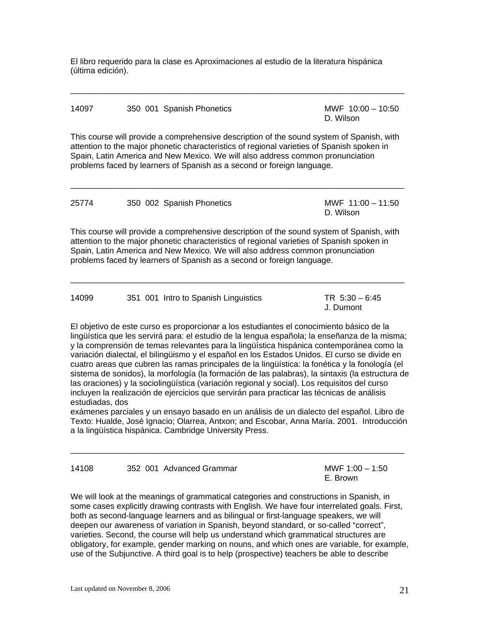El libro requerido para la clase es Aproximaciones al estudio de la literatura hispánica (última edición).

 $\overline{\phantom{a}}$  ,  $\overline{\phantom{a}}$  ,  $\overline{\phantom{a}}$  ,  $\overline{\phantom{a}}$  ,  $\overline{\phantom{a}}$  ,  $\overline{\phantom{a}}$  ,  $\overline{\phantom{a}}$  ,  $\overline{\phantom{a}}$  ,  $\overline{\phantom{a}}$  ,  $\overline{\phantom{a}}$  ,  $\overline{\phantom{a}}$  ,  $\overline{\phantom{a}}$  ,  $\overline{\phantom{a}}$  ,  $\overline{\phantom{a}}$  ,  $\overline{\phantom{a}}$  ,  $\overline{\phantom{a}}$ 

| 14097 | 350 001 Spanish Phonetics                                                                                                                                                                                                                                                                                                                           | MWF $10:00 - 10:50$<br>D. Wilson |
|-------|-----------------------------------------------------------------------------------------------------------------------------------------------------------------------------------------------------------------------------------------------------------------------------------------------------------------------------------------------------|----------------------------------|
|       | This course will provide a comprehensive description of the sound system of Spanish, with<br>attention to the major phonetic characteristics of regional varieties of Spanish spoken in<br>Spain, Latin America and New Mexico. We will also address common pronunciation<br>problems faced by learners of Spanish as a second or foreign language. |                                  |
| 25774 | 350 002 Spanish Phonetics                                                                                                                                                                                                                                                                                                                           | MWF $11:00 - 11:50$<br>D. Wilson |
|       | This course will provide a comprehensive description of the sound system of Spanish, with<br>attention to the major phonetic characteristics of regional varieties of Spanish spoken in<br>Spain, Latin America and New Mexico. We will also address common pronunciation<br>problems faced by learners of Spanish as a second or foreign language. |                                  |

| 14099 | 351 001 Intro to Spanish Linguistics | TR $5:30 - 6:45$ |
|-------|--------------------------------------|------------------|
|       |                                      | J. Dumont        |

 $\overline{\phantom{a}}$  ,  $\overline{\phantom{a}}$  ,  $\overline{\phantom{a}}$  ,  $\overline{\phantom{a}}$  ,  $\overline{\phantom{a}}$  ,  $\overline{\phantom{a}}$  ,  $\overline{\phantom{a}}$  ,  $\overline{\phantom{a}}$  ,  $\overline{\phantom{a}}$  ,  $\overline{\phantom{a}}$  ,  $\overline{\phantom{a}}$  ,  $\overline{\phantom{a}}$  ,  $\overline{\phantom{a}}$  ,  $\overline{\phantom{a}}$  ,  $\overline{\phantom{a}}$  ,  $\overline{\phantom{a}}$ 

El objetivo de este curso es proporcionar a los estudiantes el conocimiento básico de la lingüística que les servirá para: el estudio de la lengua española; la enseñanza de la misma; y la comprensión de temas relevantes para la lingüística hispánica contemporánea como la variación dialectal, el bilingüismo y el español en los Estados Unidos. El curso se divide en cuatro areas que cubren las ramas principales de la lingüística: la fonética y la fonología (el sistema de sonidos), la morfología (la formación de las palabras), la sintaxis (la estructura de las oraciones) y la sociolingüística (variación regional y social). Los requisitos del curso incluyen la realización de ejercicios que servirán para practicar las técnicas de análisis estudiadas, dos

exámenes parciales y un ensayo basado en un análisis de un dialecto del español. Libro de Texto: Hualde, José Ignacio; Olarrea, Antxon; and Escobar, Anna María. 2001. Introducción a la lingüística hispánica. Cambridge University Press.

 $\overline{\phantom{a}}$  ,  $\overline{\phantom{a}}$  ,  $\overline{\phantom{a}}$  ,  $\overline{\phantom{a}}$  ,  $\overline{\phantom{a}}$  ,  $\overline{\phantom{a}}$  ,  $\overline{\phantom{a}}$  ,  $\overline{\phantom{a}}$  ,  $\overline{\phantom{a}}$  ,  $\overline{\phantom{a}}$  ,  $\overline{\phantom{a}}$  ,  $\overline{\phantom{a}}$  ,  $\overline{\phantom{a}}$  ,  $\overline{\phantom{a}}$  ,  $\overline{\phantom{a}}$  ,  $\overline{\phantom{a}}$ 

| 14108 |  | 352 001 Advanced Gramma |  |
|-------|--|-------------------------|--|
|       |  |                         |  |

14108 362 362 363 364 3652 364 3652 364 3652 362 363 364 362 363 364 362 363 364 365 366 367 368 368 369 360 36 E. Brown

We will look at the meanings of grammatical categories and constructions in Spanish, in some cases explicitly drawing contrasts with English. We have four interrelated goals. First, both as second-language learners and as bilingual or first-language speakers, we will deepen our awareness of variation in Spanish, beyond standard, or so-called "correct", varieties. Second, the course will help us understand which grammatical structures are obligatory, for example, gender marking on nouns, and which ones are variable, for example, use of the Subjunctive. A third goal is to help (prospective) teachers be able to describe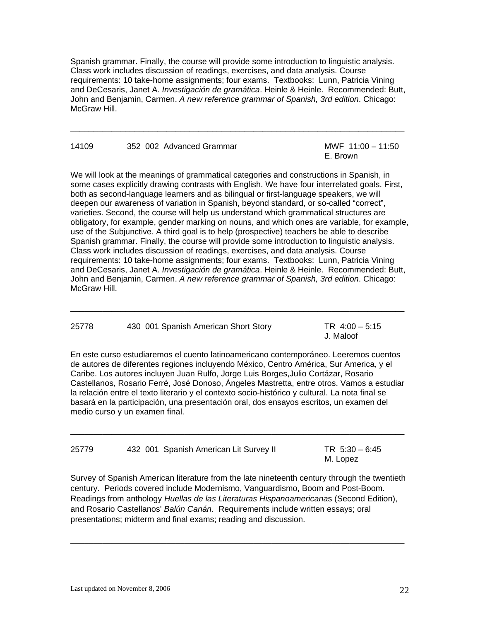Spanish grammar. Finally, the course will provide some introduction to linguistic analysis. Class work includes discussion of readings, exercises, and data analysis. Course requirements: 10 take-home assignments; four exams. Textbooks: Lunn, Patricia Vining and DeCesaris, Janet A. *Investigación de gramática*. Heinle & Heinle. Recommended: Butt, John and Benjamin, Carmen. *A new reference grammar of Spanish, 3rd edition*. Chicago: McGraw Hill.

 $\overline{\phantom{a}}$  , and the set of the set of the set of the set of the set of the set of the set of the set of the set of the set of the set of the set of the set of the set of the set of the set of the set of the set of the s

| 14109 | 352 002 Advanced Grammar | MWF 1 |
|-------|--------------------------|-------|
|       |                          |       |

 $11:00 - 11:50$ E. Brown

We will look at the meanings of grammatical categories and constructions in Spanish, in some cases explicitly drawing contrasts with English. We have four interrelated goals. First, both as second-language learners and as bilingual or first-language speakers, we will deepen our awareness of variation in Spanish, beyond standard, or so-called "correct", varieties. Second, the course will help us understand which grammatical structures are obligatory, for example, gender marking on nouns, and which ones are variable, for example, use of the Subjunctive. A third goal is to help (prospective) teachers be able to describe Spanish grammar. Finally, the course will provide some introduction to linguistic analysis. Class work includes discussion of readings, exercises, and data analysis. Course requirements: 10 take-home assignments; four exams. Textbooks: Lunn, Patricia Vining and DeCesaris, Janet A. *Investigación de gramática*. Heinle & Heinle. Recommended: Butt, John and Benjamin, Carmen. *A new reference grammar of Spanish, 3rd edition*. Chicago: McGraw Hill.

| 25778 | 430 001 Spanish American Short Story | TR $4:00 - 5:15$<br>J. Maloof |
|-------|--------------------------------------|-------------------------------|
|       |                                      |                               |

 $\overline{\phantom{a}}$  ,  $\overline{\phantom{a}}$  ,  $\overline{\phantom{a}}$  ,  $\overline{\phantom{a}}$  ,  $\overline{\phantom{a}}$  ,  $\overline{\phantom{a}}$  ,  $\overline{\phantom{a}}$  ,  $\overline{\phantom{a}}$  ,  $\overline{\phantom{a}}$  ,  $\overline{\phantom{a}}$  ,  $\overline{\phantom{a}}$  ,  $\overline{\phantom{a}}$  ,  $\overline{\phantom{a}}$  ,  $\overline{\phantom{a}}$  ,  $\overline{\phantom{a}}$  ,  $\overline{\phantom{a}}$ 

En este curso estudiaremos el cuento latinoamericano contemporáneo. Leeremos cuentos de autores de diferentes regiones incluyendo México, Centro América, Sur America, y el Caribe. Los autores incluyen Juan Rulfo, Jorge Luis Borges,Julio Cortázar, Rosario Castellanos, Rosario Ferré, José Donoso, Ángeles Mastretta, entre otros. Vamos a estudiar la relación entre el texto literario y el contexto socio-histórico y cultural. La nota final se basará en la participación, una presentación oral, dos ensayos escritos, un examen del medio curso y un examen final.

| 25779 | 432 001 Spanish American Lit Survey II | TR $5:30 - 6:45$ |
|-------|----------------------------------------|------------------|
|       |                                        | M. Lopez         |

 $\overline{\phantom{a}}$  ,  $\overline{\phantom{a}}$  ,  $\overline{\phantom{a}}$  ,  $\overline{\phantom{a}}$  ,  $\overline{\phantom{a}}$  ,  $\overline{\phantom{a}}$  ,  $\overline{\phantom{a}}$  ,  $\overline{\phantom{a}}$  ,  $\overline{\phantom{a}}$  ,  $\overline{\phantom{a}}$  ,  $\overline{\phantom{a}}$  ,  $\overline{\phantom{a}}$  ,  $\overline{\phantom{a}}$  ,  $\overline{\phantom{a}}$  ,  $\overline{\phantom{a}}$  ,  $\overline{\phantom{a}}$ 

Survey of Spanish American literature from the late nineteenth century through the twentieth century. Periods covered include Modernismo, Vanguardismo, Boom and Post-Boom. Readings from anthology *Huellas de las Literaturas Hispanoamericana*s (Second Edition), and Rosario Castellanos' *Balún Canán*. Requirements include written essays; oral presentations; midterm and final exams; reading and discussion.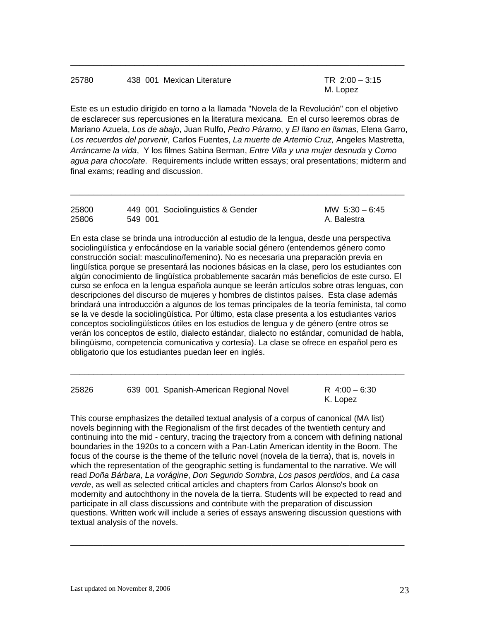## 25780 438 001 Mexican Literature TR 2:00 – 3:15

M. Lopez

Este es un estudio dirigido en torno a la llamada "Novela de la Revolución" con el objetivo de esclarecer sus repercusiones en la literatura mexicana. En el curso leeremos obras de Mariano Azuela, *Los de abajo*, Juan Rulfo, *Pedro Páramo*, y *El llano en llamas,* Elena Garro, *Los recuerdos del porvenir,* Carlos Fuentes, *La muerte de Artemio Cruz,* Angeles Mastretta, *Arráncame la vida*, Y los filmes Sabina Berman, *Entre Villa y una mujer desnuda* y *Como agua para chocolate*. Requirements include written essays; oral presentations; midterm and final exams; reading and discussion.

 $\overline{\phantom{a}}$  ,  $\overline{\phantom{a}}$  ,  $\overline{\phantom{a}}$  ,  $\overline{\phantom{a}}$  ,  $\overline{\phantom{a}}$  ,  $\overline{\phantom{a}}$  ,  $\overline{\phantom{a}}$  ,  $\overline{\phantom{a}}$  ,  $\overline{\phantom{a}}$  ,  $\overline{\phantom{a}}$  ,  $\overline{\phantom{a}}$  ,  $\overline{\phantom{a}}$  ,  $\overline{\phantom{a}}$  ,  $\overline{\phantom{a}}$  ,  $\overline{\phantom{a}}$  ,  $\overline{\phantom{a}}$ 

| 25800 |         | 449 001 Sociolinguistics & Gender | MW $5:30 - 6:45$ |
|-------|---------|-----------------------------------|------------------|
| 25806 | 549 001 |                                   | A. Balestra      |

 $\overline{\phantom{a}}$  ,  $\overline{\phantom{a}}$  ,  $\overline{\phantom{a}}$  ,  $\overline{\phantom{a}}$  ,  $\overline{\phantom{a}}$  ,  $\overline{\phantom{a}}$  ,  $\overline{\phantom{a}}$  ,  $\overline{\phantom{a}}$  ,  $\overline{\phantom{a}}$  ,  $\overline{\phantom{a}}$  ,  $\overline{\phantom{a}}$  ,  $\overline{\phantom{a}}$  ,  $\overline{\phantom{a}}$  ,  $\overline{\phantom{a}}$  ,  $\overline{\phantom{a}}$  ,  $\overline{\phantom{a}}$ 

En esta clase se brinda una introducción al estudio de la lengua, desde una perspectiva sociolingüística y enfocándose en la variable social género (entendemos género como construcción social: masculino/femenino). No es necesaria una preparación previa en lingüística porque se presentará las nociones básicas en la clase, pero los estudiantes con algún conocimiento de lingüística probablemente sacarán más beneficios de este curso. El curso se enfoca en la lengua española aunque se leerán artículos sobre otras lenguas, con descripciones del discurso de mujeres y hombres de distintos países. Esta clase además brindará una introducción a algunos de los temas principales de la teoría feminista, tal como se la ve desde la sociolingüística. Por último, esta clase presenta a los estudiantes varios conceptos sociolingüísticos útiles en los estudios de lengua y de género (entre otros se verán los conceptos de estilo, dialecto estándar, dialecto no estándar, comunidad de habla, bilingüismo, competencia comunicativa y cortesía). La clase se ofrece en español pero es obligatorio que los estudiantes puedan leer en inglés.

 $\overline{\phantom{a}}$  ,  $\overline{\phantom{a}}$  ,  $\overline{\phantom{a}}$  ,  $\overline{\phantom{a}}$  ,  $\overline{\phantom{a}}$  ,  $\overline{\phantom{a}}$  ,  $\overline{\phantom{a}}$  ,  $\overline{\phantom{a}}$  ,  $\overline{\phantom{a}}$  ,  $\overline{\phantom{a}}$  ,  $\overline{\phantom{a}}$  ,  $\overline{\phantom{a}}$  ,  $\overline{\phantom{a}}$  ,  $\overline{\phantom{a}}$  ,  $\overline{\phantom{a}}$  ,  $\overline{\phantom{a}}$ 

| 25826 |  | 639 001 Spanish-American Regional Novel | R $4:00 - 6:30$ |
|-------|--|-----------------------------------------|-----------------|
|       |  |                                         | K. Lopez        |

This course emphasizes the detailed textual analysis of a corpus of canonical (MA list) novels beginning with the Regionalism of the first decades of the twentieth century and continuing into the mid - century, tracing the trajectory from a concern with defining national boundaries in the 1920s to a concern with a Pan-Latin American identity in the Boom. The focus of the course is the theme of the telluric novel (novela de la tierra), that is, novels in which the representation of the geographic setting is fundamental to the narrative. We will read *Doña Bárbara*, *La vorágine*, *Don Segundo Sombra*, *Los pasos perdidos*, and *La casa verde*, as well as selected critical articles and chapters from Carlos Alonso's book on modernity and autochthony in the novela de la tierra. Students will be expected to read and participate in all class discussions and contribute with the preparation of discussion questions. Written work will include a series of essays answering discussion questions with textual analysis of the novels.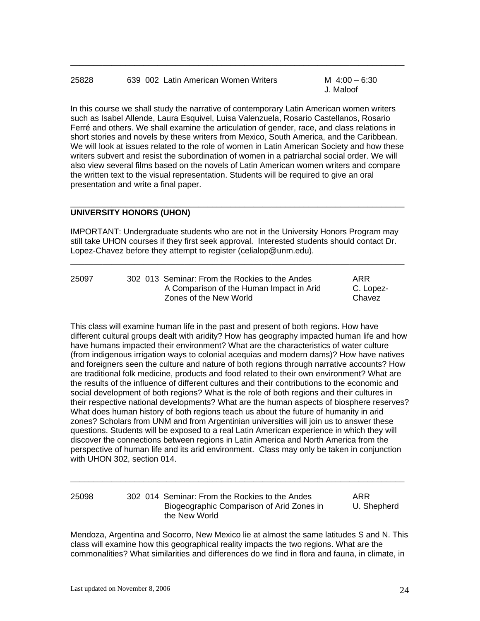## 25828 639 002 Latin American Women Writers M 4:00 – 6:30

J. Maloof

In this course we shall study the narrative of contemporary Latin American women writers such as Isabel Allende, Laura Esquivel, Luisa Valenzuela, Rosario Castellanos, Rosario Ferré and others. We shall examine the articulation of gender, race, and class relations in short stories and novels by these writers from Mexico, South America, and the Caribbean. We will look at issues related to the role of women in Latin American Society and how these writers subvert and resist the subordination of women in a patriarchal social order. We will also view several films based on the novels of Latin American women writers and compare the written text to the visual representation. Students will be required to give an oral presentation and write a final paper.

 $\overline{\phantom{a}}$  ,  $\overline{\phantom{a}}$  ,  $\overline{\phantom{a}}$  ,  $\overline{\phantom{a}}$  ,  $\overline{\phantom{a}}$  ,  $\overline{\phantom{a}}$  ,  $\overline{\phantom{a}}$  ,  $\overline{\phantom{a}}$  ,  $\overline{\phantom{a}}$  ,  $\overline{\phantom{a}}$  ,  $\overline{\phantom{a}}$  ,  $\overline{\phantom{a}}$  ,  $\overline{\phantom{a}}$  ,  $\overline{\phantom{a}}$  ,  $\overline{\phantom{a}}$  ,  $\overline{\phantom{a}}$ 

## **UNIVERSITY HONORS (UHON)**

IMPORTANT: Undergraduate students who are not in the University Honors Program may still take UHON courses if they first seek approval. Interested students should contact Dr. Lopez-Chavez before they attempt to register (celialop@unm.edu).

 $\overline{\phantom{a}}$  ,  $\overline{\phantom{a}}$  ,  $\overline{\phantom{a}}$  ,  $\overline{\phantom{a}}$  ,  $\overline{\phantom{a}}$  ,  $\overline{\phantom{a}}$  ,  $\overline{\phantom{a}}$  ,  $\overline{\phantom{a}}$  ,  $\overline{\phantom{a}}$  ,  $\overline{\phantom{a}}$  ,  $\overline{\phantom{a}}$  ,  $\overline{\phantom{a}}$  ,  $\overline{\phantom{a}}$  ,  $\overline{\phantom{a}}$  ,  $\overline{\phantom{a}}$  ,  $\overline{\phantom{a}}$ 

 $\overline{\phantom{a}}$  ,  $\overline{\phantom{a}}$  ,  $\overline{\phantom{a}}$  ,  $\overline{\phantom{a}}$  ,  $\overline{\phantom{a}}$  ,  $\overline{\phantom{a}}$  ,  $\overline{\phantom{a}}$  ,  $\overline{\phantom{a}}$  ,  $\overline{\phantom{a}}$  ,  $\overline{\phantom{a}}$  ,  $\overline{\phantom{a}}$  ,  $\overline{\phantom{a}}$  ,  $\overline{\phantom{a}}$  ,  $\overline{\phantom{a}}$  ,  $\overline{\phantom{a}}$  ,  $\overline{\phantom{a}}$ 

| 25097 | 302 013 Seminar: From the Rockies to the Andes | ARR       |
|-------|------------------------------------------------|-----------|
|       | A Comparison of the Human Impact in Arid       | C. Lopez- |
|       | Zones of the New World                         | Chavez    |

This class will examine human life in the past and present of both regions. How have different cultural groups dealt with aridity? How has geography impacted human life and how have humans impacted their environment? What are the characteristics of water culture (from indigenous irrigation ways to colonial acequias and modern dams)? How have natives and foreigners seen the culture and nature of both regions through narrative accounts? How are traditional folk medicine, products and food related to their own environment? What are the results of the influence of different cultures and their contributions to the economic and social development of both regions? What is the role of both regions and their cultures in their respective national developments? What are the human aspects of biosphere reserves? What does human history of both regions teach us about the future of humanity in arid zones? Scholars from UNM and from Argentinian universities will join us to answer these questions. Students will be exposed to a real Latin American experience in which they will discover the connections between regions in Latin America and North America from the perspective of human life and its arid environment. Class may only be taken in conjunction with UHON 302, section 014.

| 25098 | 302 014 Seminar: From the Rockies to the Andes             | ARR         |
|-------|------------------------------------------------------------|-------------|
|       | Biogeographic Comparison of Arid Zones in<br>the New World | U. Shepherd |

 $\overline{\phantom{a}}$  ,  $\overline{\phantom{a}}$  ,  $\overline{\phantom{a}}$  ,  $\overline{\phantom{a}}$  ,  $\overline{\phantom{a}}$  ,  $\overline{\phantom{a}}$  ,  $\overline{\phantom{a}}$  ,  $\overline{\phantom{a}}$  ,  $\overline{\phantom{a}}$  ,  $\overline{\phantom{a}}$  ,  $\overline{\phantom{a}}$  ,  $\overline{\phantom{a}}$  ,  $\overline{\phantom{a}}$  ,  $\overline{\phantom{a}}$  ,  $\overline{\phantom{a}}$  ,  $\overline{\phantom{a}}$ 

Mendoza, Argentina and Socorro, New Mexico lie at almost the same latitudes S and N. This class will examine how this geographical reality impacts the two regions. What are the commonalities? What similarities and differences do we find in flora and fauna, in climate, in